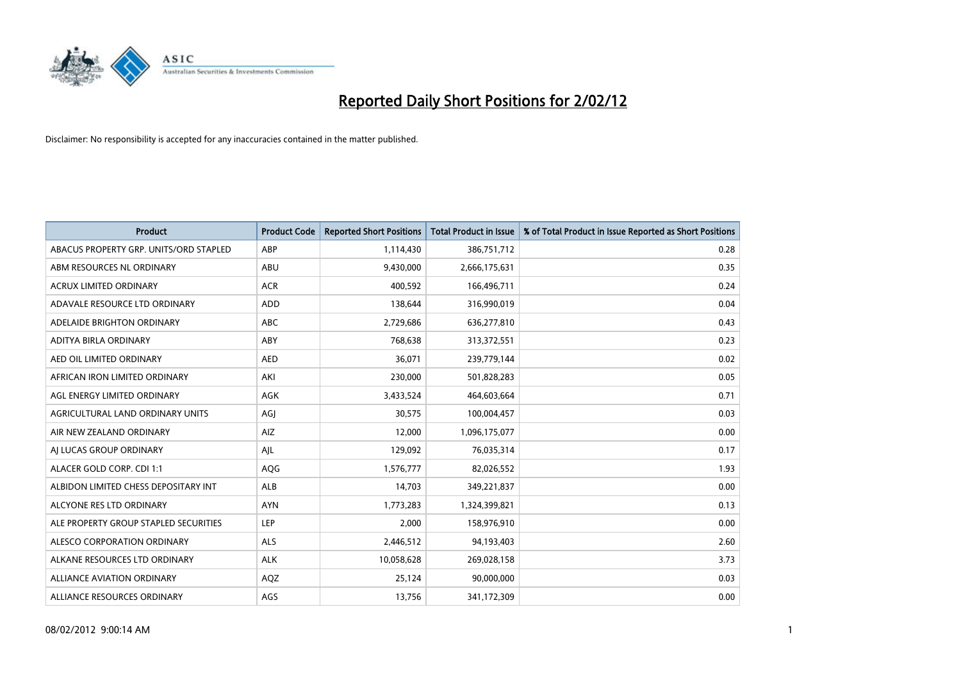

| <b>Product</b>                         | <b>Product Code</b> | <b>Reported Short Positions</b> | <b>Total Product in Issue</b> | % of Total Product in Issue Reported as Short Positions |
|----------------------------------------|---------------------|---------------------------------|-------------------------------|---------------------------------------------------------|
| ABACUS PROPERTY GRP. UNITS/ORD STAPLED | ABP                 | 1,114,430                       | 386,751,712                   | 0.28                                                    |
| ABM RESOURCES NL ORDINARY              | ABU                 | 9,430,000                       | 2,666,175,631                 | 0.35                                                    |
| <b>ACRUX LIMITED ORDINARY</b>          | <b>ACR</b>          | 400,592                         | 166,496,711                   | 0.24                                                    |
| ADAVALE RESOURCE LTD ORDINARY          | <b>ADD</b>          | 138,644                         | 316,990,019                   | 0.04                                                    |
| ADELAIDE BRIGHTON ORDINARY             | <b>ABC</b>          | 2,729,686                       | 636,277,810                   | 0.43                                                    |
| ADITYA BIRLA ORDINARY                  | ABY                 | 768,638                         | 313,372,551                   | 0.23                                                    |
| AED OIL LIMITED ORDINARY               | <b>AED</b>          | 36,071                          | 239,779,144                   | 0.02                                                    |
| AFRICAN IRON LIMITED ORDINARY          | AKI                 | 230,000                         | 501,828,283                   | 0.05                                                    |
| AGL ENERGY LIMITED ORDINARY            | AGK                 | 3,433,524                       | 464,603,664                   | 0.71                                                    |
| AGRICULTURAL LAND ORDINARY UNITS       | AGJ                 | 30,575                          | 100,004,457                   | 0.03                                                    |
| AIR NEW ZEALAND ORDINARY               | <b>AIZ</b>          | 12,000                          | 1,096,175,077                 | 0.00                                                    |
| AI LUCAS GROUP ORDINARY                | AJL                 | 129,092                         | 76,035,314                    | 0.17                                                    |
| ALACER GOLD CORP. CDI 1:1              | AQG                 | 1,576,777                       | 82,026,552                    | 1.93                                                    |
| ALBIDON LIMITED CHESS DEPOSITARY INT   | <b>ALB</b>          | 14,703                          | 349,221,837                   | 0.00                                                    |
| ALCYONE RES LTD ORDINARY               | <b>AYN</b>          | 1,773,283                       | 1,324,399,821                 | 0.13                                                    |
| ALE PROPERTY GROUP STAPLED SECURITIES  | LEP                 | 2,000                           | 158,976,910                   | 0.00                                                    |
| ALESCO CORPORATION ORDINARY            | ALS                 | 2,446,512                       | 94,193,403                    | 2.60                                                    |
| ALKANE RESOURCES LTD ORDINARY          | <b>ALK</b>          | 10,058,628                      | 269,028,158                   | 3.73                                                    |
| <b>ALLIANCE AVIATION ORDINARY</b>      | AQZ                 | 25,124                          | 90,000,000                    | 0.03                                                    |
| ALLIANCE RESOURCES ORDINARY            | AGS                 | 13,756                          | 341,172,309                   | 0.00                                                    |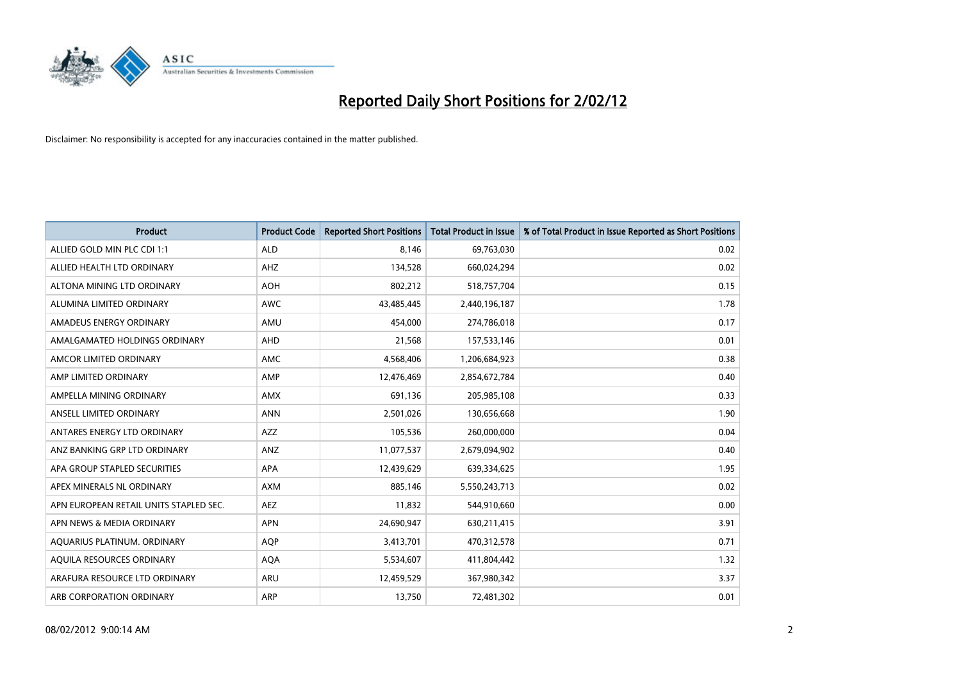

| <b>Product</b>                         | <b>Product Code</b> | <b>Reported Short Positions</b> | <b>Total Product in Issue</b> | % of Total Product in Issue Reported as Short Positions |
|----------------------------------------|---------------------|---------------------------------|-------------------------------|---------------------------------------------------------|
| ALLIED GOLD MIN PLC CDI 1:1            | <b>ALD</b>          | 8,146                           | 69,763,030                    | 0.02                                                    |
| ALLIED HEALTH LTD ORDINARY             | AHZ                 | 134,528                         | 660,024,294                   | 0.02                                                    |
| ALTONA MINING LTD ORDINARY             | <b>AOH</b>          | 802,212                         | 518,757,704                   | 0.15                                                    |
| ALUMINA LIMITED ORDINARY               | <b>AWC</b>          | 43,485,445                      | 2,440,196,187                 | 1.78                                                    |
| AMADEUS ENERGY ORDINARY                | AMU                 | 454,000                         | 274,786,018                   | 0.17                                                    |
| AMALGAMATED HOLDINGS ORDINARY          | AHD                 | 21,568                          | 157,533,146                   | 0.01                                                    |
| AMCOR LIMITED ORDINARY                 | AMC                 | 4,568,406                       | 1,206,684,923                 | 0.38                                                    |
| AMP LIMITED ORDINARY                   | AMP                 | 12,476,469                      | 2,854,672,784                 | 0.40                                                    |
| AMPELLA MINING ORDINARY                | <b>AMX</b>          | 691,136                         | 205,985,108                   | 0.33                                                    |
| ANSELL LIMITED ORDINARY                | <b>ANN</b>          | 2,501,026                       | 130,656,668                   | 1.90                                                    |
| ANTARES ENERGY LTD ORDINARY            | AZZ                 | 105,536                         | 260,000,000                   | 0.04                                                    |
| ANZ BANKING GRP LTD ORDINARY           | ANZ                 | 11,077,537                      | 2,679,094,902                 | 0.40                                                    |
| APA GROUP STAPLED SECURITIES           | <b>APA</b>          | 12,439,629                      | 639,334,625                   | 1.95                                                    |
| APEX MINERALS NL ORDINARY              | <b>AXM</b>          | 885,146                         | 5,550,243,713                 | 0.02                                                    |
| APN EUROPEAN RETAIL UNITS STAPLED SEC. | <b>AEZ</b>          | 11,832                          | 544,910,660                   | 0.00                                                    |
| APN NEWS & MEDIA ORDINARY              | <b>APN</b>          | 24,690,947                      | 630,211,415                   | 3.91                                                    |
| AQUARIUS PLATINUM. ORDINARY            | <b>AQP</b>          | 3,413,701                       | 470,312,578                   | 0.71                                                    |
| AQUILA RESOURCES ORDINARY              | <b>AQA</b>          | 5,534,607                       | 411,804,442                   | 1.32                                                    |
| ARAFURA RESOURCE LTD ORDINARY          | ARU                 | 12,459,529                      | 367,980,342                   | 3.37                                                    |
| ARB CORPORATION ORDINARY               | ARP                 | 13,750                          | 72,481,302                    | 0.01                                                    |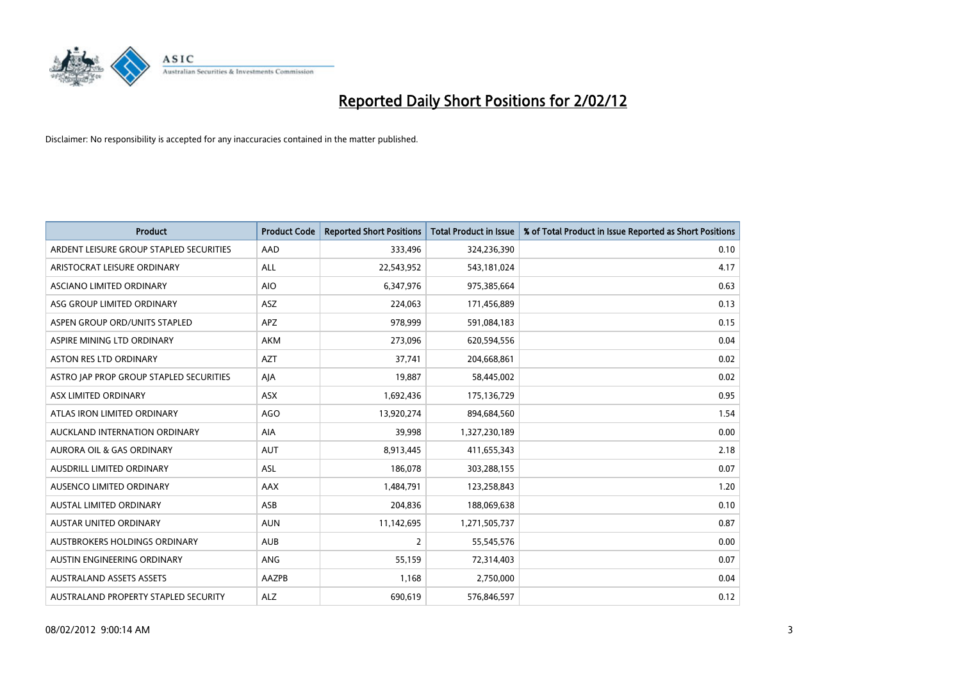

| <b>Product</b>                          | <b>Product Code</b> | <b>Reported Short Positions</b> | <b>Total Product in Issue</b> | % of Total Product in Issue Reported as Short Positions |
|-----------------------------------------|---------------------|---------------------------------|-------------------------------|---------------------------------------------------------|
| ARDENT LEISURE GROUP STAPLED SECURITIES | AAD                 | 333,496                         | 324,236,390                   | 0.10                                                    |
| ARISTOCRAT LEISURE ORDINARY             | ALL                 | 22,543,952                      | 543,181,024                   | 4.17                                                    |
| ASCIANO LIMITED ORDINARY                | <b>AIO</b>          | 6,347,976                       | 975,385,664                   | 0.63                                                    |
| ASG GROUP LIMITED ORDINARY              | ASZ                 | 224,063                         | 171,456,889                   | 0.13                                                    |
| ASPEN GROUP ORD/UNITS STAPLED           | <b>APZ</b>          | 978,999                         | 591,084,183                   | 0.15                                                    |
| ASPIRE MINING LTD ORDINARY              | <b>AKM</b>          | 273,096                         | 620,594,556                   | 0.04                                                    |
| ASTON RES LTD ORDINARY                  | <b>AZT</b>          | 37,741                          | 204,668,861                   | 0.02                                                    |
| ASTRO JAP PROP GROUP STAPLED SECURITIES | AJA                 | 19,887                          | 58,445,002                    | 0.02                                                    |
| ASX LIMITED ORDINARY                    | ASX                 | 1,692,436                       | 175,136,729                   | 0.95                                                    |
| ATLAS IRON LIMITED ORDINARY             | <b>AGO</b>          | 13,920,274                      | 894,684,560                   | 1.54                                                    |
| AUCKLAND INTERNATION ORDINARY           | AIA                 | 39,998                          | 1,327,230,189                 | 0.00                                                    |
| <b>AURORA OIL &amp; GAS ORDINARY</b>    | <b>AUT</b>          | 8,913,445                       | 411,655,343                   | 2.18                                                    |
| AUSDRILL LIMITED ORDINARY               | ASL                 | 186,078                         | 303,288,155                   | 0.07                                                    |
| AUSENCO LIMITED ORDINARY                | AAX                 | 1,484,791                       | 123,258,843                   | 1.20                                                    |
| <b>AUSTAL LIMITED ORDINARY</b>          | ASB                 | 204,836                         | 188,069,638                   | 0.10                                                    |
| AUSTAR UNITED ORDINARY                  | <b>AUN</b>          | 11,142,695                      | 1,271,505,737                 | 0.87                                                    |
| AUSTBROKERS HOLDINGS ORDINARY           | <b>AUB</b>          | $\overline{2}$                  | 55,545,576                    | 0.00                                                    |
| AUSTIN ENGINEERING ORDINARY             | <b>ANG</b>          | 55,159                          | 72,314,403                    | 0.07                                                    |
| <b>AUSTRALAND ASSETS ASSETS</b>         | AAZPB               | 1,168                           | 2,750,000                     | 0.04                                                    |
| AUSTRALAND PROPERTY STAPLED SECURITY    | <b>ALZ</b>          | 690,619                         | 576,846,597                   | 0.12                                                    |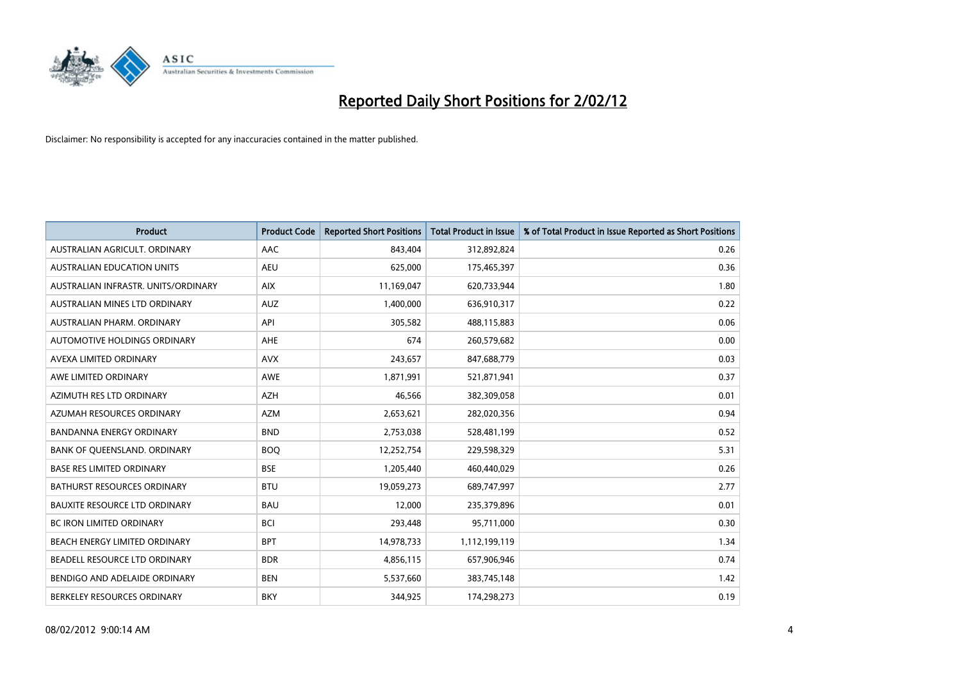

| <b>Product</b>                       | <b>Product Code</b> | <b>Reported Short Positions</b> | <b>Total Product in Issue</b> | % of Total Product in Issue Reported as Short Positions |
|--------------------------------------|---------------------|---------------------------------|-------------------------------|---------------------------------------------------------|
| AUSTRALIAN AGRICULT, ORDINARY        | AAC                 | 843,404                         | 312,892,824                   | 0.26                                                    |
| AUSTRALIAN EDUCATION UNITS           | <b>AEU</b>          | 625,000                         | 175,465,397                   | 0.36                                                    |
| AUSTRALIAN INFRASTR, UNITS/ORDINARY  | <b>AIX</b>          | 11,169,047                      | 620,733,944                   | 1.80                                                    |
| AUSTRALIAN MINES LTD ORDINARY        | <b>AUZ</b>          | 1,400,000                       | 636,910,317                   | 0.22                                                    |
| AUSTRALIAN PHARM, ORDINARY           | API                 | 305,582                         | 488,115,883                   | 0.06                                                    |
| AUTOMOTIVE HOLDINGS ORDINARY         | AHE                 | 674                             | 260,579,682                   | 0.00                                                    |
| AVEXA LIMITED ORDINARY               | <b>AVX</b>          | 243,657                         | 847,688,779                   | 0.03                                                    |
| AWE LIMITED ORDINARY                 | AWE                 | 1,871,991                       | 521,871,941                   | 0.37                                                    |
| AZIMUTH RES LTD ORDINARY             | <b>AZH</b>          | 46,566                          | 382,309,058                   | 0.01                                                    |
| AZUMAH RESOURCES ORDINARY            | <b>AZM</b>          | 2,653,621                       | 282,020,356                   | 0.94                                                    |
| BANDANNA ENERGY ORDINARY             | <b>BND</b>          | 2,753,038                       | 528,481,199                   | 0.52                                                    |
| BANK OF QUEENSLAND. ORDINARY         | <b>BOQ</b>          | 12,252,754                      | 229,598,329                   | 5.31                                                    |
| <b>BASE RES LIMITED ORDINARY</b>     | <b>BSE</b>          | 1,205,440                       | 460,440,029                   | 0.26                                                    |
| <b>BATHURST RESOURCES ORDINARY</b>   | <b>BTU</b>          | 19,059,273                      | 689,747,997                   | 2.77                                                    |
| <b>BAUXITE RESOURCE LTD ORDINARY</b> | <b>BAU</b>          | 12,000                          | 235,379,896                   | 0.01                                                    |
| BC IRON LIMITED ORDINARY             | <b>BCI</b>          | 293,448                         | 95,711,000                    | 0.30                                                    |
| BEACH ENERGY LIMITED ORDINARY        | <b>BPT</b>          | 14,978,733                      | 1,112,199,119                 | 1.34                                                    |
| BEADELL RESOURCE LTD ORDINARY        | <b>BDR</b>          | 4,856,115                       | 657,906,946                   | 0.74                                                    |
| BENDIGO AND ADELAIDE ORDINARY        | <b>BEN</b>          | 5,537,660                       | 383,745,148                   | 1.42                                                    |
| BERKELEY RESOURCES ORDINARY          | <b>BKY</b>          | 344,925                         | 174,298,273                   | 0.19                                                    |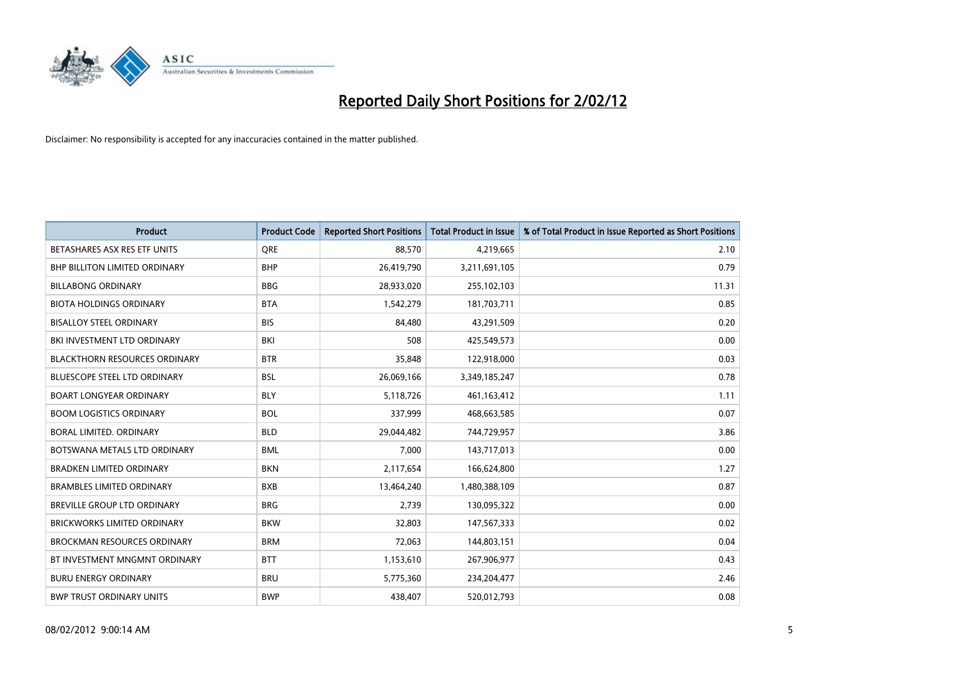

| <b>Product</b>                       | <b>Product Code</b> | <b>Reported Short Positions</b> | <b>Total Product in Issue</b> | % of Total Product in Issue Reported as Short Positions |
|--------------------------------------|---------------------|---------------------------------|-------------------------------|---------------------------------------------------------|
| BETASHARES ASX RES ETF UNITS         | <b>ORE</b>          | 88,570                          | 4,219,665                     | 2.10                                                    |
| <b>BHP BILLITON LIMITED ORDINARY</b> | <b>BHP</b>          | 26,419,790                      | 3,211,691,105                 | 0.79                                                    |
| <b>BILLABONG ORDINARY</b>            | <b>BBG</b>          | 28,933,020                      | 255,102,103                   | 11.31                                                   |
| <b>BIOTA HOLDINGS ORDINARY</b>       | <b>BTA</b>          | 1,542,279                       | 181,703,711                   | 0.85                                                    |
| <b>BISALLOY STEEL ORDINARY</b>       | <b>BIS</b>          | 84,480                          | 43,291,509                    | 0.20                                                    |
| BKI INVESTMENT LTD ORDINARY          | BKI                 | 508                             | 425,549,573                   | 0.00                                                    |
| <b>BLACKTHORN RESOURCES ORDINARY</b> | <b>BTR</b>          | 35,848                          | 122,918,000                   | 0.03                                                    |
| <b>BLUESCOPE STEEL LTD ORDINARY</b>  | <b>BSL</b>          | 26,069,166                      | 3,349,185,247                 | 0.78                                                    |
| <b>BOART LONGYEAR ORDINARY</b>       | <b>BLY</b>          | 5,118,726                       | 461,163,412                   | 1.11                                                    |
| <b>BOOM LOGISTICS ORDINARY</b>       | <b>BOL</b>          | 337,999                         | 468,663,585                   | 0.07                                                    |
| BORAL LIMITED, ORDINARY              | <b>BLD</b>          | 29,044,482                      | 744,729,957                   | 3.86                                                    |
| BOTSWANA METALS LTD ORDINARY         | <b>BML</b>          | 7,000                           | 143,717,013                   | 0.00                                                    |
| <b>BRADKEN LIMITED ORDINARY</b>      | <b>BKN</b>          | 2,117,654                       | 166,624,800                   | 1.27                                                    |
| <b>BRAMBLES LIMITED ORDINARY</b>     | <b>BXB</b>          | 13,464,240                      | 1,480,388,109                 | 0.87                                                    |
| <b>BREVILLE GROUP LTD ORDINARY</b>   | <b>BRG</b>          | 2,739                           | 130,095,322                   | 0.00                                                    |
| <b>BRICKWORKS LIMITED ORDINARY</b>   | <b>BKW</b>          | 32,803                          | 147,567,333                   | 0.02                                                    |
| BROCKMAN RESOURCES ORDINARY          | <b>BRM</b>          | 72,063                          | 144,803,151                   | 0.04                                                    |
| BT INVESTMENT MNGMNT ORDINARY        | <b>BTT</b>          | 1,153,610                       | 267,906,977                   | 0.43                                                    |
| <b>BURU ENERGY ORDINARY</b>          | <b>BRU</b>          | 5,775,360                       | 234,204,477                   | 2.46                                                    |
| <b>BWP TRUST ORDINARY UNITS</b>      | <b>BWP</b>          | 438,407                         | 520,012,793                   | 0.08                                                    |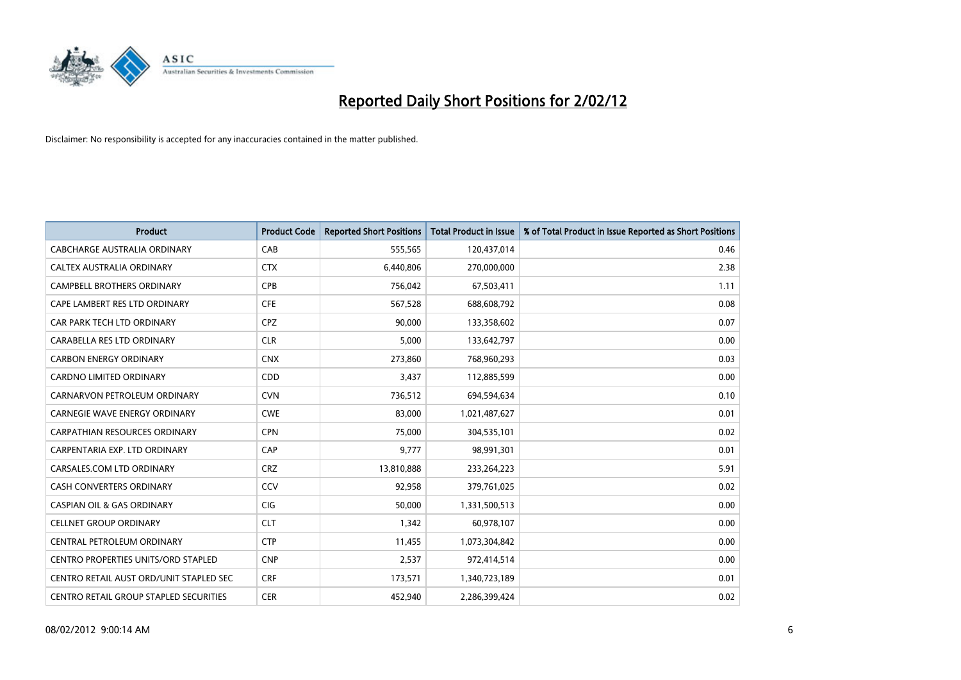

| <b>Product</b>                          | <b>Product Code</b> | <b>Reported Short Positions</b> | <b>Total Product in Issue</b> | % of Total Product in Issue Reported as Short Positions |
|-----------------------------------------|---------------------|---------------------------------|-------------------------------|---------------------------------------------------------|
| <b>CABCHARGE AUSTRALIA ORDINARY</b>     | CAB                 | 555,565                         | 120,437,014                   | 0.46                                                    |
| CALTEX AUSTRALIA ORDINARY               | <b>CTX</b>          | 6,440,806                       | 270,000,000                   | 2.38                                                    |
| <b>CAMPBELL BROTHERS ORDINARY</b>       | <b>CPB</b>          | 756,042                         | 67,503,411                    | 1.11                                                    |
| CAPE LAMBERT RES LTD ORDINARY           | <b>CFE</b>          | 567,528                         | 688,608,792                   | 0.08                                                    |
| CAR PARK TECH LTD ORDINARY              | <b>CPZ</b>          | 90,000                          | 133,358,602                   | 0.07                                                    |
| CARABELLA RES LTD ORDINARY              | <b>CLR</b>          | 5,000                           | 133,642,797                   | 0.00                                                    |
| <b>CARBON ENERGY ORDINARY</b>           | <b>CNX</b>          | 273,860                         | 768,960,293                   | 0.03                                                    |
| CARDNO LIMITED ORDINARY                 | CDD                 | 3,437                           | 112,885,599                   | 0.00                                                    |
| CARNARVON PETROLEUM ORDINARY            | <b>CVN</b>          | 736,512                         | 694,594,634                   | 0.10                                                    |
| <b>CARNEGIE WAVE ENERGY ORDINARY</b>    | <b>CWE</b>          | 83,000                          | 1,021,487,627                 | 0.01                                                    |
| CARPATHIAN RESOURCES ORDINARY           | <b>CPN</b>          | 75,000                          | 304,535,101                   | 0.02                                                    |
| CARPENTARIA EXP. LTD ORDINARY           | CAP                 | 9,777                           | 98,991,301                    | 0.01                                                    |
| CARSALES.COM LTD ORDINARY               | <b>CRZ</b>          | 13,810,888                      | 233,264,223                   | 5.91                                                    |
| <b>CASH CONVERTERS ORDINARY</b>         | CCV                 | 92,958                          | 379,761,025                   | 0.02                                                    |
| <b>CASPIAN OIL &amp; GAS ORDINARY</b>   | CIG                 | 50,000                          | 1,331,500,513                 | 0.00                                                    |
| <b>CELLNET GROUP ORDINARY</b>           | <b>CLT</b>          | 1,342                           | 60,978,107                    | 0.00                                                    |
| CENTRAL PETROLEUM ORDINARY              | <b>CTP</b>          | 11,455                          | 1,073,304,842                 | 0.00                                                    |
| CENTRO PROPERTIES UNITS/ORD STAPLED     | <b>CNP</b>          | 2,537                           | 972,414,514                   | 0.00                                                    |
| CENTRO RETAIL AUST ORD/UNIT STAPLED SEC | <b>CRF</b>          | 173,571                         | 1,340,723,189                 | 0.01                                                    |
| CENTRO RETAIL GROUP STAPLED SECURITIES  | <b>CER</b>          | 452,940                         | 2,286,399,424                 | 0.02                                                    |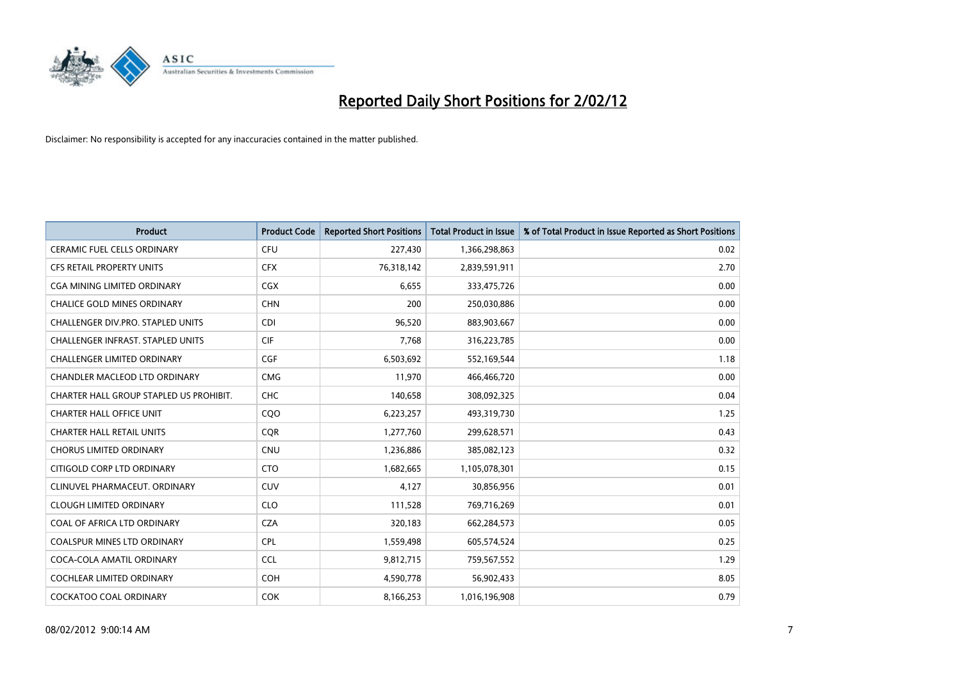

| <b>Product</b>                           | <b>Product Code</b> | <b>Reported Short Positions</b> | <b>Total Product in Issue</b> | % of Total Product in Issue Reported as Short Positions |
|------------------------------------------|---------------------|---------------------------------|-------------------------------|---------------------------------------------------------|
| <b>CERAMIC FUEL CELLS ORDINARY</b>       | <b>CFU</b>          | 227,430                         | 1,366,298,863                 | 0.02                                                    |
| CFS RETAIL PROPERTY UNITS                | <b>CFX</b>          | 76,318,142                      | 2,839,591,911                 | 2.70                                                    |
| CGA MINING LIMITED ORDINARY              | CGX                 | 6,655                           | 333,475,726                   | 0.00                                                    |
| <b>CHALICE GOLD MINES ORDINARY</b>       | <b>CHN</b>          | 200                             | 250,030,886                   | 0.00                                                    |
| CHALLENGER DIV.PRO. STAPLED UNITS        | <b>CDI</b>          | 96,520                          | 883,903,667                   | 0.00                                                    |
| <b>CHALLENGER INFRAST, STAPLED UNITS</b> | <b>CIF</b>          | 7,768                           | 316,223,785                   | 0.00                                                    |
| <b>CHALLENGER LIMITED ORDINARY</b>       | <b>CGF</b>          | 6,503,692                       | 552,169,544                   | 1.18                                                    |
| CHANDLER MACLEOD LTD ORDINARY            | <b>CMG</b>          | 11,970                          | 466,466,720                   | 0.00                                                    |
| CHARTER HALL GROUP STAPLED US PROHIBIT.  | <b>CHC</b>          | 140,658                         | 308,092,325                   | 0.04                                                    |
| <b>CHARTER HALL OFFICE UNIT</b>          | CQO                 | 6,223,257                       | 493,319,730                   | 1.25                                                    |
| <b>CHARTER HALL RETAIL UNITS</b>         | <b>CQR</b>          | 1,277,760                       | 299,628,571                   | 0.43                                                    |
| <b>CHORUS LIMITED ORDINARY</b>           | <b>CNU</b>          | 1,236,886                       | 385,082,123                   | 0.32                                                    |
| CITIGOLD CORP LTD ORDINARY               | <b>CTO</b>          | 1,682,665                       | 1,105,078,301                 | 0.15                                                    |
| CLINUVEL PHARMACEUT, ORDINARY            | <b>CUV</b>          | 4,127                           | 30,856,956                    | 0.01                                                    |
| <b>CLOUGH LIMITED ORDINARY</b>           | <b>CLO</b>          | 111,528                         | 769,716,269                   | 0.01                                                    |
| COAL OF AFRICA LTD ORDINARY              | <b>CZA</b>          | 320,183                         | 662,284,573                   | 0.05                                                    |
| COALSPUR MINES LTD ORDINARY              | <b>CPL</b>          | 1,559,498                       | 605,574,524                   | 0.25                                                    |
| COCA-COLA AMATIL ORDINARY                | <b>CCL</b>          | 9,812,715                       | 759,567,552                   | 1.29                                                    |
| <b>COCHLEAR LIMITED ORDINARY</b>         | <b>COH</b>          | 4,590,778                       | 56,902,433                    | 8.05                                                    |
| <b>COCKATOO COAL ORDINARY</b>            | <b>COK</b>          | 8,166,253                       | 1,016,196,908                 | 0.79                                                    |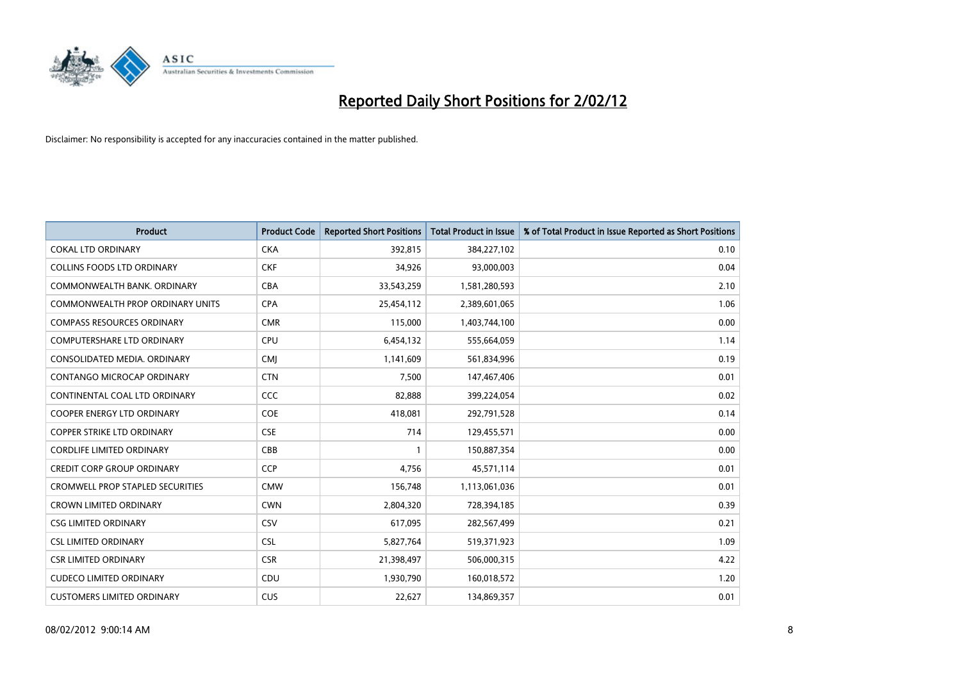

| <b>Product</b>                          | <b>Product Code</b> | <b>Reported Short Positions</b> | <b>Total Product in Issue</b> | % of Total Product in Issue Reported as Short Positions |
|-----------------------------------------|---------------------|---------------------------------|-------------------------------|---------------------------------------------------------|
| <b>COKAL LTD ORDINARY</b>               | <b>CKA</b>          | 392,815                         | 384,227,102                   | 0.10                                                    |
| COLLINS FOODS LTD ORDINARY              | <b>CKF</b>          | 34,926                          | 93,000,003                    | 0.04                                                    |
| COMMONWEALTH BANK, ORDINARY             | <b>CBA</b>          | 33,543,259                      | 1,581,280,593                 | 2.10                                                    |
| COMMONWEALTH PROP ORDINARY UNITS        | <b>CPA</b>          | 25,454,112                      | 2,389,601,065                 | 1.06                                                    |
| <b>COMPASS RESOURCES ORDINARY</b>       | <b>CMR</b>          | 115,000                         | 1,403,744,100                 | 0.00                                                    |
| <b>COMPUTERSHARE LTD ORDINARY</b>       | <b>CPU</b>          | 6,454,132                       | 555,664,059                   | 1.14                                                    |
| CONSOLIDATED MEDIA, ORDINARY            | <b>CMI</b>          | 1,141,609                       | 561,834,996                   | 0.19                                                    |
| CONTANGO MICROCAP ORDINARY              | <b>CTN</b>          | 7,500                           | 147,467,406                   | 0.01                                                    |
| CONTINENTAL COAL LTD ORDINARY           | <b>CCC</b>          | 82,888                          | 399,224,054                   | 0.02                                                    |
| <b>COOPER ENERGY LTD ORDINARY</b>       | <b>COE</b>          | 418,081                         | 292,791,528                   | 0.14                                                    |
| <b>COPPER STRIKE LTD ORDINARY</b>       | <b>CSE</b>          | 714                             | 129,455,571                   | 0.00                                                    |
| <b>CORDLIFE LIMITED ORDINARY</b>        | CBB                 | $\mathbf{1}$                    | 150,887,354                   | 0.00                                                    |
| <b>CREDIT CORP GROUP ORDINARY</b>       | <b>CCP</b>          | 4,756                           | 45,571,114                    | 0.01                                                    |
| <b>CROMWELL PROP STAPLED SECURITIES</b> | <b>CMW</b>          | 156,748                         | 1,113,061,036                 | 0.01                                                    |
| <b>CROWN LIMITED ORDINARY</b>           | <b>CWN</b>          | 2,804,320                       | 728,394,185                   | 0.39                                                    |
| <b>CSG LIMITED ORDINARY</b>             | CSV                 | 617,095                         | 282,567,499                   | 0.21                                                    |
| <b>CSL LIMITED ORDINARY</b>             | <b>CSL</b>          | 5,827,764                       | 519,371,923                   | 1.09                                                    |
| <b>CSR LIMITED ORDINARY</b>             | <b>CSR</b>          | 21,398,497                      | 506,000,315                   | 4.22                                                    |
| <b>CUDECO LIMITED ORDINARY</b>          | CDU                 | 1,930,790                       | 160,018,572                   | 1.20                                                    |
| <b>CUSTOMERS LIMITED ORDINARY</b>       | <b>CUS</b>          | 22,627                          | 134,869,357                   | 0.01                                                    |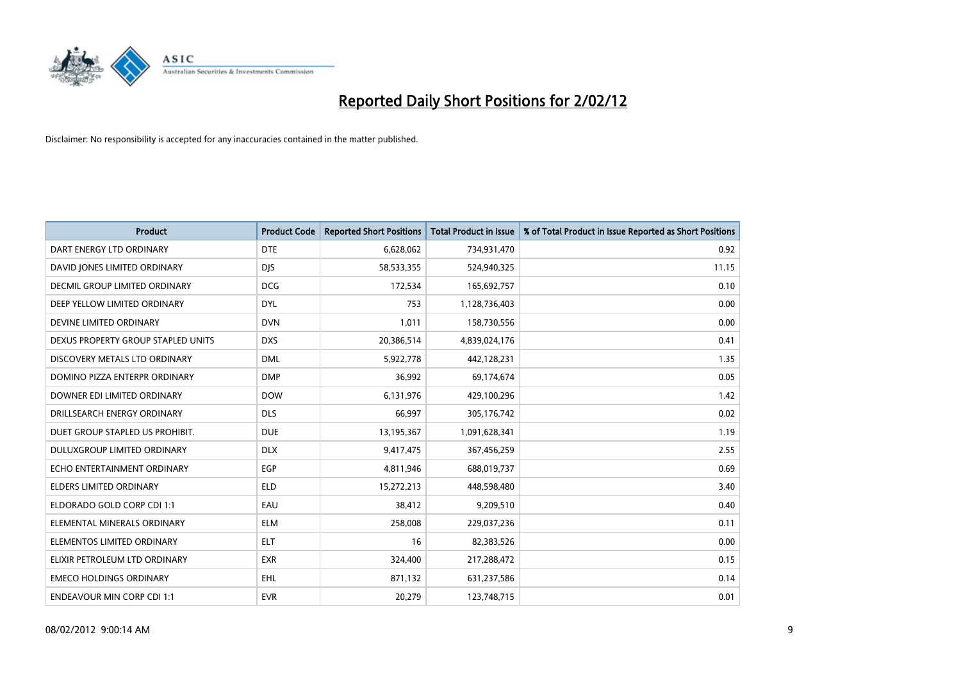

| <b>Product</b>                       | <b>Product Code</b> | <b>Reported Short Positions</b> | <b>Total Product in Issue</b> | % of Total Product in Issue Reported as Short Positions |
|--------------------------------------|---------------------|---------------------------------|-------------------------------|---------------------------------------------------------|
| DART ENERGY LTD ORDINARY             | <b>DTE</b>          | 6,628,062                       | 734,931,470                   | 0.92                                                    |
| DAVID JONES LIMITED ORDINARY         | <b>DJS</b>          | 58,533,355                      | 524,940,325                   | 11.15                                                   |
| <b>DECMIL GROUP LIMITED ORDINARY</b> | <b>DCG</b>          | 172,534                         | 165,692,757                   | 0.10                                                    |
| DEEP YELLOW LIMITED ORDINARY         | <b>DYL</b>          | 753                             | 1,128,736,403                 | 0.00                                                    |
| DEVINE LIMITED ORDINARY              | <b>DVN</b>          | 1,011                           | 158,730,556                   | 0.00                                                    |
| DEXUS PROPERTY GROUP STAPLED UNITS   | <b>DXS</b>          | 20,386,514                      | 4,839,024,176                 | 0.41                                                    |
| DISCOVERY METALS LTD ORDINARY        | <b>DML</b>          | 5,922,778                       | 442,128,231                   | 1.35                                                    |
| DOMINO PIZZA ENTERPR ORDINARY        | <b>DMP</b>          | 36,992                          | 69,174,674                    | 0.05                                                    |
| DOWNER EDI LIMITED ORDINARY          | <b>DOW</b>          | 6,131,976                       | 429,100,296                   | 1.42                                                    |
| DRILLSEARCH ENERGY ORDINARY          | <b>DLS</b>          | 66,997                          | 305,176,742                   | 0.02                                                    |
| DUET GROUP STAPLED US PROHIBIT.      | <b>DUE</b>          | 13,195,367                      | 1,091,628,341                 | 1.19                                                    |
| <b>DULUXGROUP LIMITED ORDINARY</b>   | <b>DLX</b>          | 9,417,475                       | 367,456,259                   | 2.55                                                    |
| ECHO ENTERTAINMENT ORDINARY          | <b>EGP</b>          | 4,811,946                       | 688,019,737                   | 0.69                                                    |
| <b>ELDERS LIMITED ORDINARY</b>       | <b>ELD</b>          | 15,272,213                      | 448,598,480                   | 3.40                                                    |
| ELDORADO GOLD CORP CDI 1:1           | EAU                 | 38,412                          | 9,209,510                     | 0.40                                                    |
| ELEMENTAL MINERALS ORDINARY          | <b>ELM</b>          | 258,008                         | 229,037,236                   | 0.11                                                    |
| ELEMENTOS LIMITED ORDINARY           | ELT                 | 16                              | 82,383,526                    | 0.00                                                    |
| ELIXIR PETROLEUM LTD ORDINARY        | <b>EXR</b>          | 324,400                         | 217,288,472                   | 0.15                                                    |
| <b>EMECO HOLDINGS ORDINARY</b>       | <b>EHL</b>          | 871,132                         | 631,237,586                   | 0.14                                                    |
| <b>ENDEAVOUR MIN CORP CDI 1:1</b>    | <b>EVR</b>          | 20,279                          | 123,748,715                   | 0.01                                                    |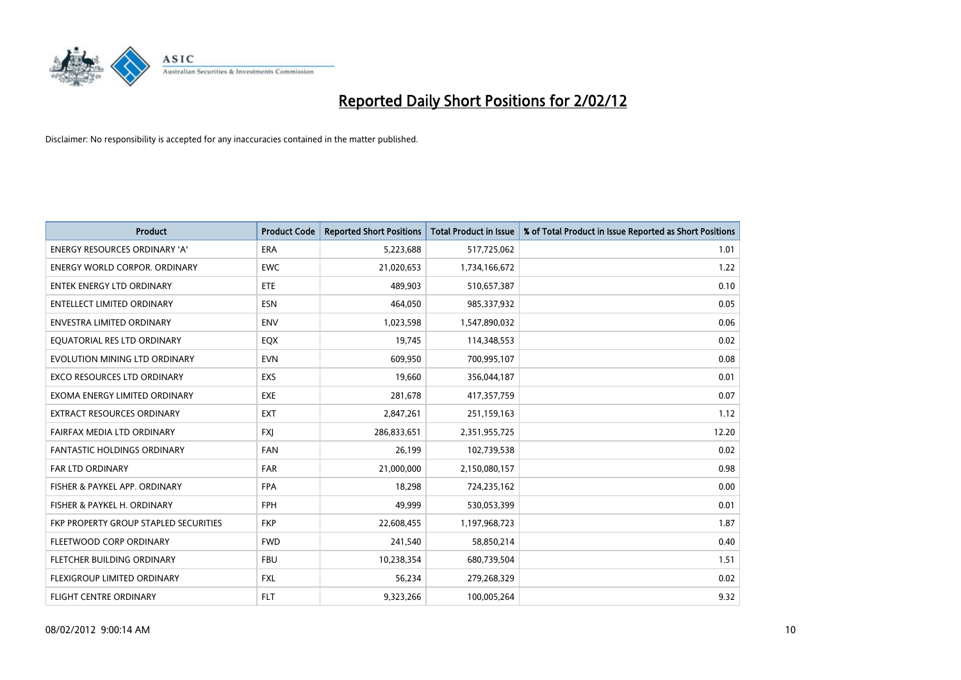

| <b>Product</b>                        | <b>Product Code</b> | <b>Reported Short Positions</b> | <b>Total Product in Issue</b> | % of Total Product in Issue Reported as Short Positions |
|---------------------------------------|---------------------|---------------------------------|-------------------------------|---------------------------------------------------------|
| <b>ENERGY RESOURCES ORDINARY 'A'</b>  | <b>ERA</b>          | 5,223,688                       | 517,725,062                   | 1.01                                                    |
| <b>ENERGY WORLD CORPOR. ORDINARY</b>  | <b>EWC</b>          | 21,020,653                      | 1,734,166,672                 | 1.22                                                    |
| <b>ENTEK ENERGY LTD ORDINARY</b>      | <b>ETE</b>          | 489,903                         | 510,657,387                   | 0.10                                                    |
| <b>ENTELLECT LIMITED ORDINARY</b>     | <b>ESN</b>          | 464,050                         | 985,337,932                   | 0.05                                                    |
| <b>ENVESTRA LIMITED ORDINARY</b>      | <b>ENV</b>          | 1,023,598                       | 1,547,890,032                 | 0.06                                                    |
| EQUATORIAL RES LTD ORDINARY           | EQX                 | 19,745                          | 114,348,553                   | 0.02                                                    |
| EVOLUTION MINING LTD ORDINARY         | <b>EVN</b>          | 609,950                         | 700,995,107                   | 0.08                                                    |
| <b>EXCO RESOURCES LTD ORDINARY</b>    | <b>EXS</b>          | 19,660                          | 356,044,187                   | 0.01                                                    |
| EXOMA ENERGY LIMITED ORDINARY         | <b>EXE</b>          | 281,678                         | 417,357,759                   | 0.07                                                    |
| <b>EXTRACT RESOURCES ORDINARY</b>     | <b>EXT</b>          | 2,847,261                       | 251,159,163                   | 1.12                                                    |
| FAIRFAX MEDIA LTD ORDINARY            | <b>FXI</b>          | 286,833,651                     | 2,351,955,725                 | 12.20                                                   |
| <b>FANTASTIC HOLDINGS ORDINARY</b>    | <b>FAN</b>          | 26,199                          | 102,739,538                   | 0.02                                                    |
| <b>FAR LTD ORDINARY</b>               | <b>FAR</b>          | 21,000,000                      | 2,150,080,157                 | 0.98                                                    |
| FISHER & PAYKEL APP. ORDINARY         | <b>FPA</b>          | 18,298                          | 724,235,162                   | 0.00                                                    |
| FISHER & PAYKEL H. ORDINARY           | <b>FPH</b>          | 49,999                          | 530,053,399                   | 0.01                                                    |
| FKP PROPERTY GROUP STAPLED SECURITIES | <b>FKP</b>          | 22,608,455                      | 1,197,968,723                 | 1.87                                                    |
| FLEETWOOD CORP ORDINARY               | <b>FWD</b>          | 241,540                         | 58,850,214                    | 0.40                                                    |
| FLETCHER BUILDING ORDINARY            | <b>FBU</b>          | 10,238,354                      | 680,739,504                   | 1.51                                                    |
| FLEXIGROUP LIMITED ORDINARY           | <b>FXL</b>          | 56,234                          | 279,268,329                   | 0.02                                                    |
| <b>FLIGHT CENTRE ORDINARY</b>         | <b>FLT</b>          | 9,323,266                       | 100,005,264                   | 9.32                                                    |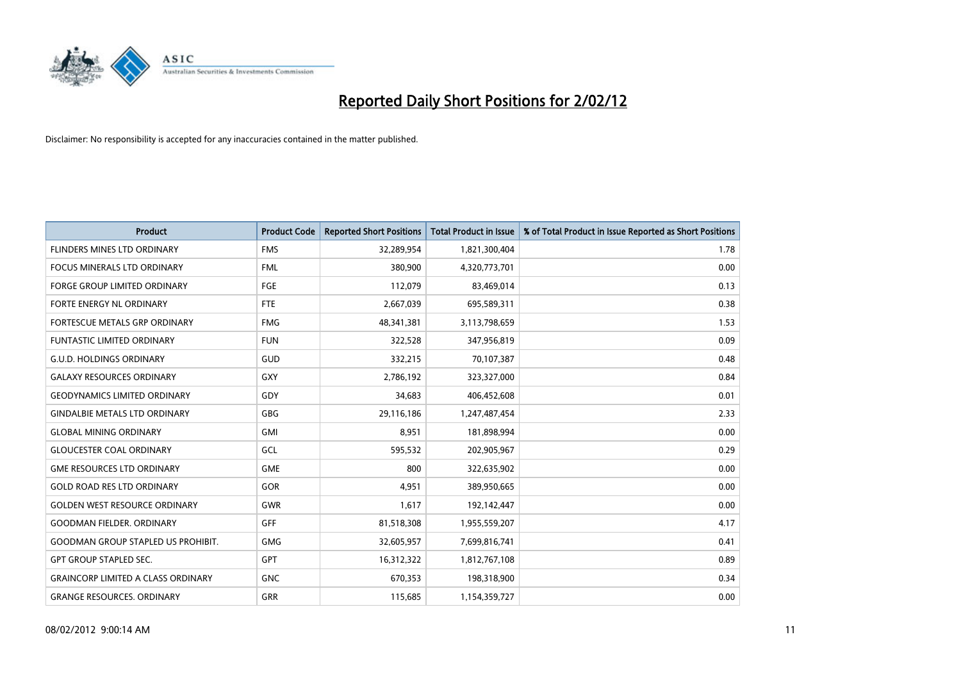

| <b>Product</b>                            | <b>Product Code</b> | <b>Reported Short Positions</b> | <b>Total Product in Issue</b> | % of Total Product in Issue Reported as Short Positions |
|-------------------------------------------|---------------------|---------------------------------|-------------------------------|---------------------------------------------------------|
| FLINDERS MINES LTD ORDINARY               | <b>FMS</b>          | 32,289,954                      | 1,821,300,404                 | 1.78                                                    |
| FOCUS MINERALS LTD ORDINARY               | <b>FML</b>          | 380,900                         | 4,320,773,701                 | 0.00                                                    |
| <b>FORGE GROUP LIMITED ORDINARY</b>       | FGE                 | 112,079                         | 83,469,014                    | 0.13                                                    |
| FORTE ENERGY NL ORDINARY                  | FTE                 | 2,667,039                       | 695,589,311                   | 0.38                                                    |
| FORTESCUE METALS GRP ORDINARY             | <b>FMG</b>          | 48,341,381                      | 3,113,798,659                 | 1.53                                                    |
| <b>FUNTASTIC LIMITED ORDINARY</b>         | <b>FUN</b>          | 322,528                         | 347,956,819                   | 0.09                                                    |
| <b>G.U.D. HOLDINGS ORDINARY</b>           | GUD                 | 332,215                         | 70,107,387                    | 0.48                                                    |
| <b>GALAXY RESOURCES ORDINARY</b>          | GXY                 | 2,786,192                       | 323,327,000                   | 0.84                                                    |
| <b>GEODYNAMICS LIMITED ORDINARY</b>       | GDY                 | 34,683                          | 406,452,608                   | 0.01                                                    |
| <b>GINDALBIE METALS LTD ORDINARY</b>      | GBG                 | 29,116,186                      | 1,247,487,454                 | 2.33                                                    |
| <b>GLOBAL MINING ORDINARY</b>             | GMI                 | 8,951                           | 181,898,994                   | 0.00                                                    |
| <b>GLOUCESTER COAL ORDINARY</b>           | GCL                 | 595,532                         | 202,905,967                   | 0.29                                                    |
| <b>GME RESOURCES LTD ORDINARY</b>         | <b>GME</b>          | 800                             | 322,635,902                   | 0.00                                                    |
| <b>GOLD ROAD RES LTD ORDINARY</b>         | GOR                 | 4,951                           | 389,950,665                   | 0.00                                                    |
| <b>GOLDEN WEST RESOURCE ORDINARY</b>      | <b>GWR</b>          | 1,617                           | 192,142,447                   | 0.00                                                    |
| <b>GOODMAN FIELDER, ORDINARY</b>          | GFF                 | 81,518,308                      | 1,955,559,207                 | 4.17                                                    |
| <b>GOODMAN GROUP STAPLED US PROHIBIT.</b> | <b>GMG</b>          | 32,605,957                      | 7,699,816,741                 | 0.41                                                    |
| <b>GPT GROUP STAPLED SEC.</b>             | <b>GPT</b>          | 16,312,322                      | 1,812,767,108                 | 0.89                                                    |
| <b>GRAINCORP LIMITED A CLASS ORDINARY</b> | <b>GNC</b>          | 670,353                         | 198,318,900                   | 0.34                                                    |
| <b>GRANGE RESOURCES. ORDINARY</b>         | GRR                 | 115,685                         | 1,154,359,727                 | 0.00                                                    |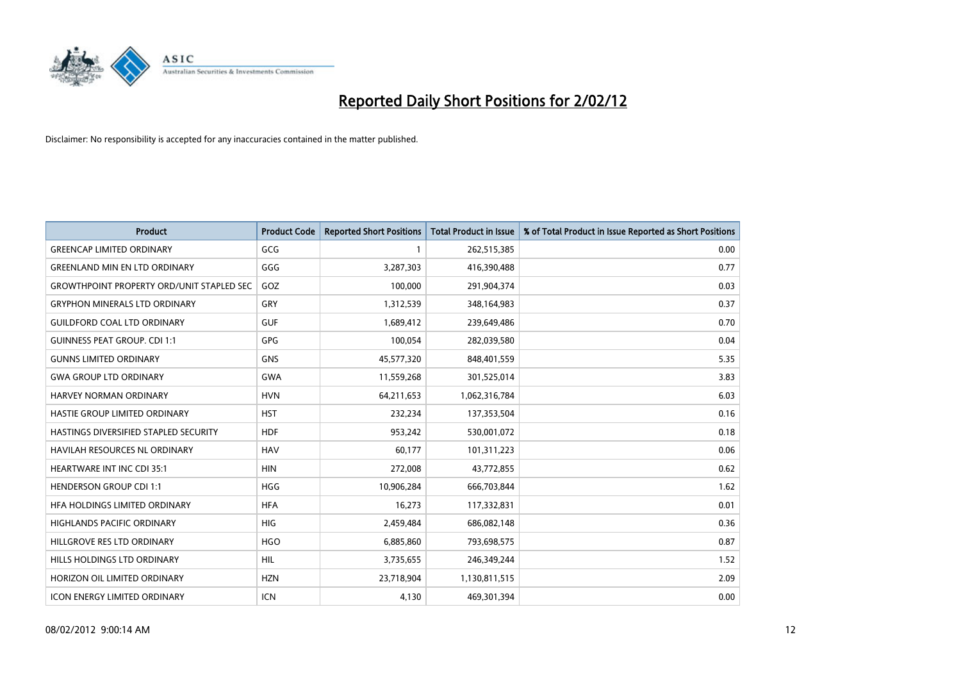

| <b>Product</b>                                   | <b>Product Code</b> | <b>Reported Short Positions</b> | <b>Total Product in Issue</b> | % of Total Product in Issue Reported as Short Positions |
|--------------------------------------------------|---------------------|---------------------------------|-------------------------------|---------------------------------------------------------|
| <b>GREENCAP LIMITED ORDINARY</b>                 | GCG                 | 1                               | 262,515,385                   | 0.00                                                    |
| <b>GREENLAND MIN EN LTD ORDINARY</b>             | GGG                 | 3,287,303                       | 416,390,488                   | 0.77                                                    |
| <b>GROWTHPOINT PROPERTY ORD/UNIT STAPLED SEC</b> | GOZ                 | 100,000                         | 291,904,374                   | 0.03                                                    |
| <b>GRYPHON MINERALS LTD ORDINARY</b>             | GRY                 | 1,312,539                       | 348,164,983                   | 0.37                                                    |
| <b>GUILDFORD COAL LTD ORDINARY</b>               | <b>GUF</b>          | 1,689,412                       | 239,649,486                   | 0.70                                                    |
| <b>GUINNESS PEAT GROUP. CDI 1:1</b>              | <b>GPG</b>          | 100,054                         | 282,039,580                   | 0.04                                                    |
| <b>GUNNS LIMITED ORDINARY</b>                    | <b>GNS</b>          | 45,577,320                      | 848,401,559                   | 5.35                                                    |
| <b>GWA GROUP LTD ORDINARY</b>                    | GWA                 | 11,559,268                      | 301,525,014                   | 3.83                                                    |
| HARVEY NORMAN ORDINARY                           | <b>HVN</b>          | 64,211,653                      | 1,062,316,784                 | 6.03                                                    |
| HASTIE GROUP LIMITED ORDINARY                    | <b>HST</b>          | 232,234                         | 137,353,504                   | 0.16                                                    |
| HASTINGS DIVERSIFIED STAPLED SECURITY            | <b>HDF</b>          | 953,242                         | 530,001,072                   | 0.18                                                    |
| <b>HAVILAH RESOURCES NL ORDINARY</b>             | <b>HAV</b>          | 60,177                          | 101,311,223                   | 0.06                                                    |
| HEARTWARE INT INC CDI 35:1                       | <b>HIN</b>          | 272,008                         | 43,772,855                    | 0.62                                                    |
| <b>HENDERSON GROUP CDI 1:1</b>                   | <b>HGG</b>          | 10,906,284                      | 666,703,844                   | 1.62                                                    |
| HFA HOLDINGS LIMITED ORDINARY                    | <b>HFA</b>          | 16,273                          | 117,332,831                   | 0.01                                                    |
| HIGHLANDS PACIFIC ORDINARY                       | <b>HIG</b>          | 2,459,484                       | 686,082,148                   | 0.36                                                    |
| HILLGROVE RES LTD ORDINARY                       | <b>HGO</b>          | 6,885,860                       | 793,698,575                   | 0.87                                                    |
| HILLS HOLDINGS LTD ORDINARY                      | <b>HIL</b>          | 3,735,655                       | 246,349,244                   | 1.52                                                    |
| HORIZON OIL LIMITED ORDINARY                     | <b>HZN</b>          | 23,718,904                      | 1,130,811,515                 | 2.09                                                    |
| <b>ICON ENERGY LIMITED ORDINARY</b>              | <b>ICN</b>          | 4,130                           | 469,301,394                   | 0.00                                                    |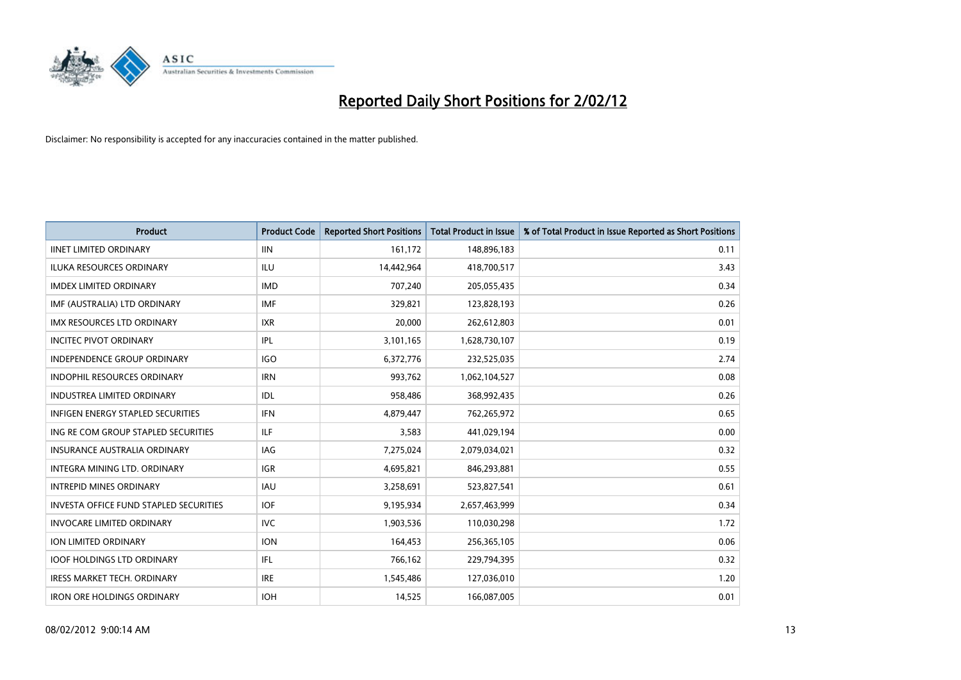

| <b>Product</b>                                | <b>Product Code</b> | <b>Reported Short Positions</b> | <b>Total Product in Issue</b> | % of Total Product in Issue Reported as Short Positions |
|-----------------------------------------------|---------------------|---------------------------------|-------------------------------|---------------------------------------------------------|
| <b>IINET LIMITED ORDINARY</b>                 | <b>IIN</b>          | 161,172                         | 148,896,183                   | 0.11                                                    |
| ILUKA RESOURCES ORDINARY                      | ILU                 | 14,442,964                      | 418,700,517                   | 3.43                                                    |
| <b>IMDEX LIMITED ORDINARY</b>                 | <b>IMD</b>          | 707,240                         | 205,055,435                   | 0.34                                                    |
| IMF (AUSTRALIA) LTD ORDINARY                  | <b>IMF</b>          | 329,821                         | 123,828,193                   | 0.26                                                    |
| <b>IMX RESOURCES LTD ORDINARY</b>             | <b>IXR</b>          | 20,000                          | 262,612,803                   | 0.01                                                    |
| <b>INCITEC PIVOT ORDINARY</b>                 | <b>IPL</b>          | 3,101,165                       | 1,628,730,107                 | 0.19                                                    |
| <b>INDEPENDENCE GROUP ORDINARY</b>            | <b>IGO</b>          | 6,372,776                       | 232,525,035                   | 2.74                                                    |
| INDOPHIL RESOURCES ORDINARY                   | <b>IRN</b>          | 993,762                         | 1,062,104,527                 | 0.08                                                    |
| INDUSTREA LIMITED ORDINARY                    | IDL                 | 958,486                         | 368,992,435                   | 0.26                                                    |
| INFIGEN ENERGY STAPLED SECURITIES             | <b>IFN</b>          | 4,879,447                       | 762,265,972                   | 0.65                                                    |
| ING RE COM GROUP STAPLED SECURITIES           | ILF.                | 3,583                           | 441,029,194                   | 0.00                                                    |
| <b>INSURANCE AUSTRALIA ORDINARY</b>           | IAG                 | 7,275,024                       | 2,079,034,021                 | 0.32                                                    |
| <b>INTEGRA MINING LTD, ORDINARY</b>           | <b>IGR</b>          | 4,695,821                       | 846,293,881                   | 0.55                                                    |
| <b>INTREPID MINES ORDINARY</b>                | <b>IAU</b>          | 3,258,691                       | 523,827,541                   | 0.61                                                    |
| <b>INVESTA OFFICE FUND STAPLED SECURITIES</b> | <b>IOF</b>          | 9,195,934                       | 2,657,463,999                 | 0.34                                                    |
| <b>INVOCARE LIMITED ORDINARY</b>              | <b>IVC</b>          | 1,903,536                       | 110,030,298                   | 1.72                                                    |
| ION LIMITED ORDINARY                          | <b>ION</b>          | 164,453                         | 256,365,105                   | 0.06                                                    |
| <b>IOOF HOLDINGS LTD ORDINARY</b>             | IFL                 | 766,162                         | 229,794,395                   | 0.32                                                    |
| <b>IRESS MARKET TECH. ORDINARY</b>            | <b>IRE</b>          | 1,545,486                       | 127,036,010                   | 1.20                                                    |
| <b>IRON ORE HOLDINGS ORDINARY</b>             | <b>IOH</b>          | 14,525                          | 166,087,005                   | 0.01                                                    |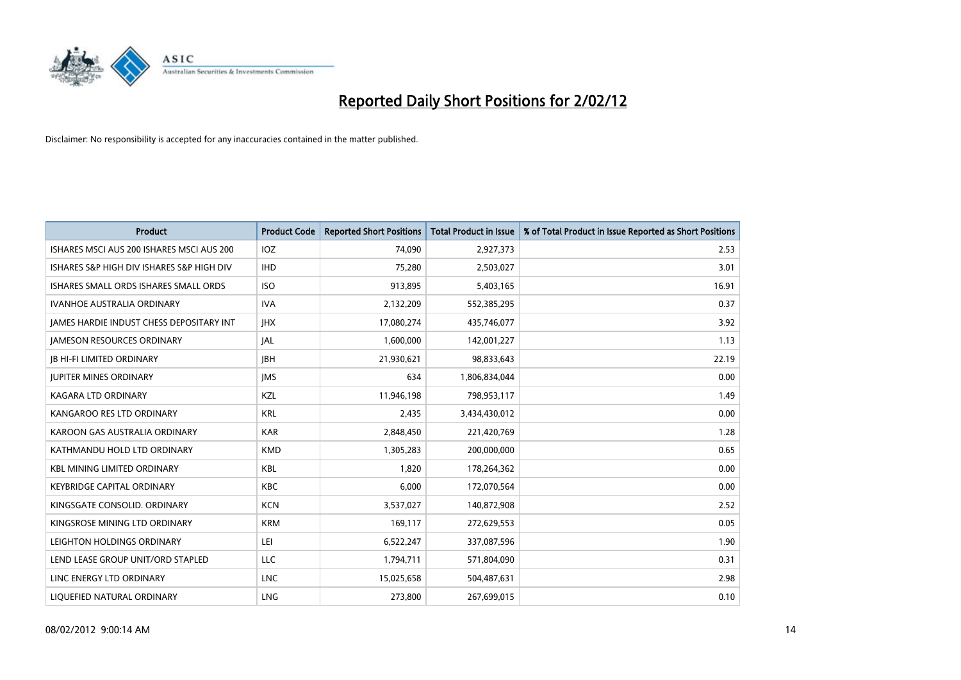

| <b>Product</b>                                  | <b>Product Code</b> | <b>Reported Short Positions</b> | <b>Total Product in Issue</b> | % of Total Product in Issue Reported as Short Positions |
|-------------------------------------------------|---------------------|---------------------------------|-------------------------------|---------------------------------------------------------|
| ISHARES MSCI AUS 200 ISHARES MSCI AUS 200       | <b>IOZ</b>          | 74,090                          | 2,927,373                     | 2.53                                                    |
| ISHARES S&P HIGH DIV ISHARES S&P HIGH DIV       | <b>IHD</b>          | 75,280                          | 2,503,027                     | 3.01                                                    |
| ISHARES SMALL ORDS ISHARES SMALL ORDS           | <b>ISO</b>          | 913,895                         | 5,403,165                     | 16.91                                                   |
| <b>IVANHOE AUSTRALIA ORDINARY</b>               | <b>IVA</b>          | 2,132,209                       | 552,385,295                   | 0.37                                                    |
| <b>JAMES HARDIE INDUST CHESS DEPOSITARY INT</b> | <b>IHX</b>          | 17,080,274                      | 435,746,077                   | 3.92                                                    |
| <b>JAMESON RESOURCES ORDINARY</b>               | JAL                 | 1,600,000                       | 142,001,227                   | 1.13                                                    |
| <b>JB HI-FI LIMITED ORDINARY</b>                | <b>JBH</b>          | 21,930,621                      | 98,833,643                    | 22.19                                                   |
| <b>JUPITER MINES ORDINARY</b>                   | <b>IMS</b>          | 634                             | 1,806,834,044                 | 0.00                                                    |
| <b>KAGARA LTD ORDINARY</b>                      | KZL                 | 11,946,198                      | 798,953,117                   | 1.49                                                    |
| KANGAROO RES LTD ORDINARY                       | <b>KRL</b>          | 2,435                           | 3,434,430,012                 | 0.00                                                    |
| KAROON GAS AUSTRALIA ORDINARY                   | <b>KAR</b>          | 2,848,450                       | 221,420,769                   | 1.28                                                    |
| KATHMANDU HOLD LTD ORDINARY                     | <b>KMD</b>          | 1,305,283                       | 200,000,000                   | 0.65                                                    |
| <b>KBL MINING LIMITED ORDINARY</b>              | <b>KBL</b>          | 1,820                           | 178,264,362                   | 0.00                                                    |
| <b>KEYBRIDGE CAPITAL ORDINARY</b>               | <b>KBC</b>          | 6,000                           | 172,070,564                   | 0.00                                                    |
| KINGSGATE CONSOLID. ORDINARY                    | <b>KCN</b>          | 3,537,027                       | 140,872,908                   | 2.52                                                    |
| KINGSROSE MINING LTD ORDINARY                   | <b>KRM</b>          | 169,117                         | 272,629,553                   | 0.05                                                    |
| LEIGHTON HOLDINGS ORDINARY                      | LEI                 | 6,522,247                       | 337,087,596                   | 1.90                                                    |
| LEND LEASE GROUP UNIT/ORD STAPLED               | <b>LLC</b>          | 1,794,711                       | 571,804,090                   | 0.31                                                    |
| LINC ENERGY LTD ORDINARY                        | <b>LNC</b>          | 15,025,658                      | 504,487,631                   | 2.98                                                    |
| LIQUEFIED NATURAL ORDINARY                      | <b>LNG</b>          | 273,800                         | 267,699,015                   | 0.10                                                    |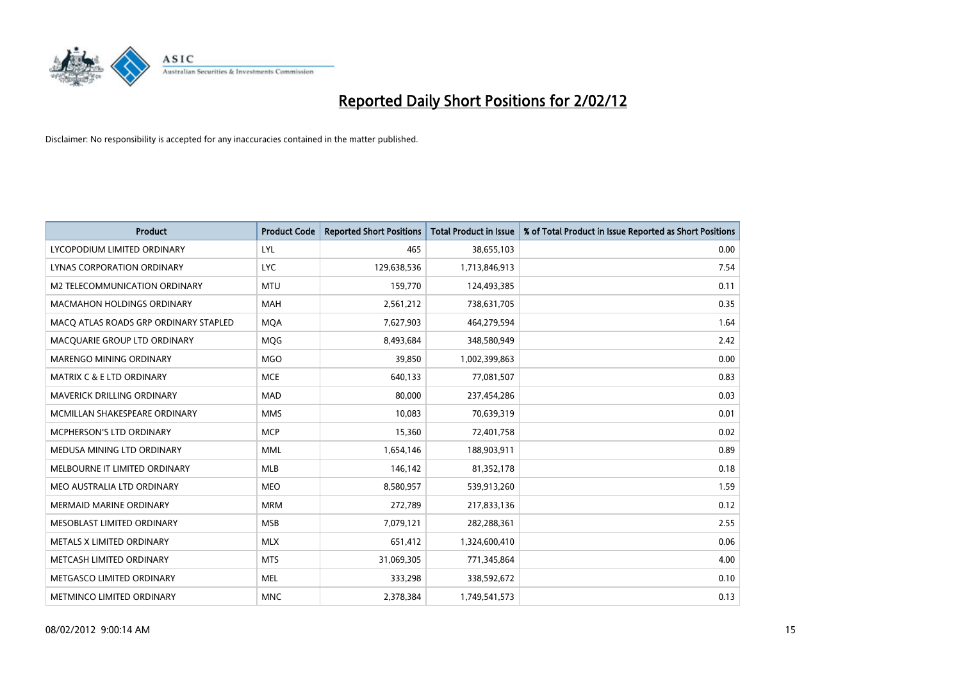

| <b>Product</b>                        | <b>Product Code</b> | <b>Reported Short Positions</b> | <b>Total Product in Issue</b> | % of Total Product in Issue Reported as Short Positions |
|---------------------------------------|---------------------|---------------------------------|-------------------------------|---------------------------------------------------------|
| LYCOPODIUM LIMITED ORDINARY           | LYL                 | 465                             | 38,655,103                    | 0.00                                                    |
| LYNAS CORPORATION ORDINARY            | <b>LYC</b>          | 129,638,536                     | 1,713,846,913                 | 7.54                                                    |
| M2 TELECOMMUNICATION ORDINARY         | <b>MTU</b>          | 159,770                         | 124,493,385                   | 0.11                                                    |
| MACMAHON HOLDINGS ORDINARY            | <b>MAH</b>          | 2,561,212                       | 738,631,705                   | 0.35                                                    |
| MACO ATLAS ROADS GRP ORDINARY STAPLED | <b>MQA</b>          | 7,627,903                       | 464,279,594                   | 1.64                                                    |
| MACQUARIE GROUP LTD ORDINARY          | MQG                 | 8,493,684                       | 348,580,949                   | 2.42                                                    |
| MARENGO MINING ORDINARY               | <b>MGO</b>          | 39,850                          | 1,002,399,863                 | 0.00                                                    |
| <b>MATRIX C &amp; E LTD ORDINARY</b>  | <b>MCE</b>          | 640.133                         | 77,081,507                    | 0.83                                                    |
| <b>MAVERICK DRILLING ORDINARY</b>     | <b>MAD</b>          | 80,000                          | 237,454,286                   | 0.03                                                    |
| MCMILLAN SHAKESPEARE ORDINARY         | <b>MMS</b>          | 10,083                          | 70,639,319                    | 0.01                                                    |
| MCPHERSON'S LTD ORDINARY              | <b>MCP</b>          | 15,360                          | 72,401,758                    | 0.02                                                    |
| MEDUSA MINING LTD ORDINARY            | <b>MML</b>          | 1,654,146                       | 188,903,911                   | 0.89                                                    |
| MELBOURNE IT LIMITED ORDINARY         | <b>MLB</b>          | 146,142                         | 81,352,178                    | 0.18                                                    |
| MEO AUSTRALIA LTD ORDINARY            | <b>MEO</b>          | 8,580,957                       | 539,913,260                   | 1.59                                                    |
| <b>MERMAID MARINE ORDINARY</b>        | <b>MRM</b>          | 272,789                         | 217,833,136                   | 0.12                                                    |
| MESOBLAST LIMITED ORDINARY            | <b>MSB</b>          | 7,079,121                       | 282,288,361                   | 2.55                                                    |
| METALS X LIMITED ORDINARY             | <b>MLX</b>          | 651,412                         | 1,324,600,410                 | 0.06                                                    |
| METCASH LIMITED ORDINARY              | <b>MTS</b>          | 31,069,305                      | 771,345,864                   | 4.00                                                    |
| METGASCO LIMITED ORDINARY             | <b>MEL</b>          | 333,298                         | 338,592,672                   | 0.10                                                    |
| METMINCO LIMITED ORDINARY             | <b>MNC</b>          | 2,378,384                       | 1,749,541,573                 | 0.13                                                    |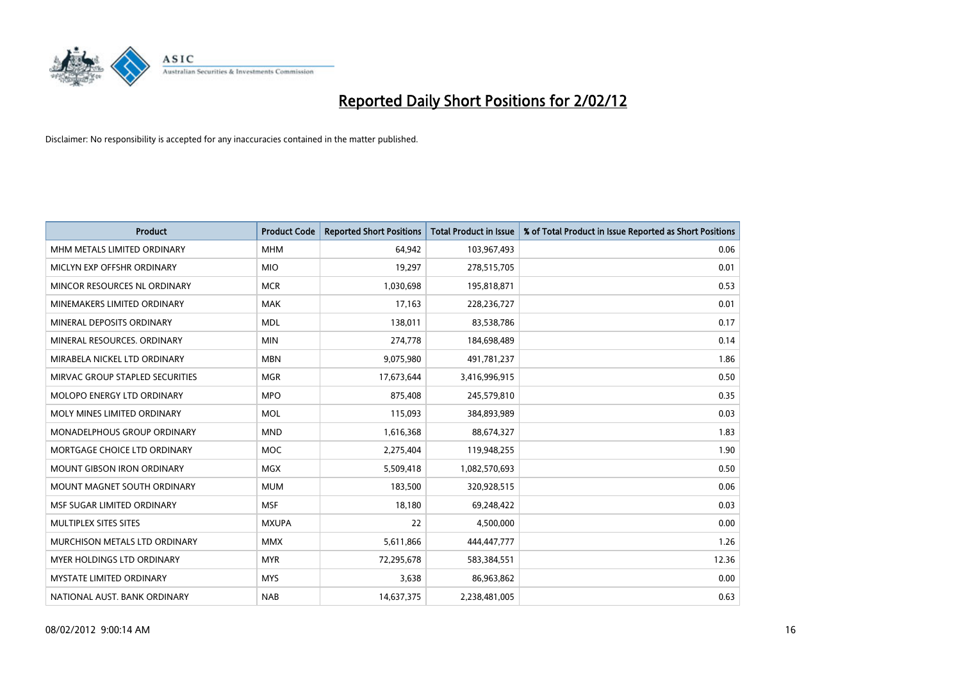

| <b>Product</b>                    | <b>Product Code</b> | <b>Reported Short Positions</b> | <b>Total Product in Issue</b> | % of Total Product in Issue Reported as Short Positions |
|-----------------------------------|---------------------|---------------------------------|-------------------------------|---------------------------------------------------------|
| MHM METALS LIMITED ORDINARY       | <b>MHM</b>          | 64,942                          | 103,967,493                   | 0.06                                                    |
| MICLYN EXP OFFSHR ORDINARY        | <b>MIO</b>          | 19,297                          | 278,515,705                   | 0.01                                                    |
| MINCOR RESOURCES NL ORDINARY      | <b>MCR</b>          | 1,030,698                       | 195,818,871                   | 0.53                                                    |
| MINEMAKERS LIMITED ORDINARY       | <b>MAK</b>          | 17,163                          | 228,236,727                   | 0.01                                                    |
| MINERAL DEPOSITS ORDINARY         | <b>MDL</b>          | 138,011                         | 83,538,786                    | 0.17                                                    |
| MINERAL RESOURCES, ORDINARY       | <b>MIN</b>          | 274,778                         | 184,698,489                   | 0.14                                                    |
| MIRABELA NICKEL LTD ORDINARY      | <b>MBN</b>          | 9,075,980                       | 491,781,237                   | 1.86                                                    |
| MIRVAC GROUP STAPLED SECURITIES   | <b>MGR</b>          | 17,673,644                      | 3,416,996,915                 | 0.50                                                    |
| MOLOPO ENERGY LTD ORDINARY        | <b>MPO</b>          | 875,408                         | 245,579,810                   | 0.35                                                    |
| MOLY MINES LIMITED ORDINARY       | <b>MOL</b>          | 115,093                         | 384,893,989                   | 0.03                                                    |
| MONADELPHOUS GROUP ORDINARY       | <b>MND</b>          | 1,616,368                       | 88,674,327                    | 1.83                                                    |
| MORTGAGE CHOICE LTD ORDINARY      | <b>MOC</b>          | 2,275,404                       | 119,948,255                   | 1.90                                                    |
| <b>MOUNT GIBSON IRON ORDINARY</b> | <b>MGX</b>          | 5,509,418                       | 1,082,570,693                 | 0.50                                                    |
| MOUNT MAGNET SOUTH ORDINARY       | <b>MUM</b>          | 183,500                         | 320,928,515                   | 0.06                                                    |
| MSF SUGAR LIMITED ORDINARY        | <b>MSF</b>          | 18,180                          | 69,248,422                    | 0.03                                                    |
| MULTIPLEX SITES SITES             | <b>MXUPA</b>        | 22                              | 4,500,000                     | 0.00                                                    |
| MURCHISON METALS LTD ORDINARY     | <b>MMX</b>          | 5,611,866                       | 444,447,777                   | 1.26                                                    |
| MYER HOLDINGS LTD ORDINARY        | <b>MYR</b>          | 72,295,678                      | 583,384,551                   | 12.36                                                   |
| <b>MYSTATE LIMITED ORDINARY</b>   | <b>MYS</b>          | 3,638                           | 86,963,862                    | 0.00                                                    |
| NATIONAL AUST. BANK ORDINARY      | <b>NAB</b>          | 14,637,375                      | 2,238,481,005                 | 0.63                                                    |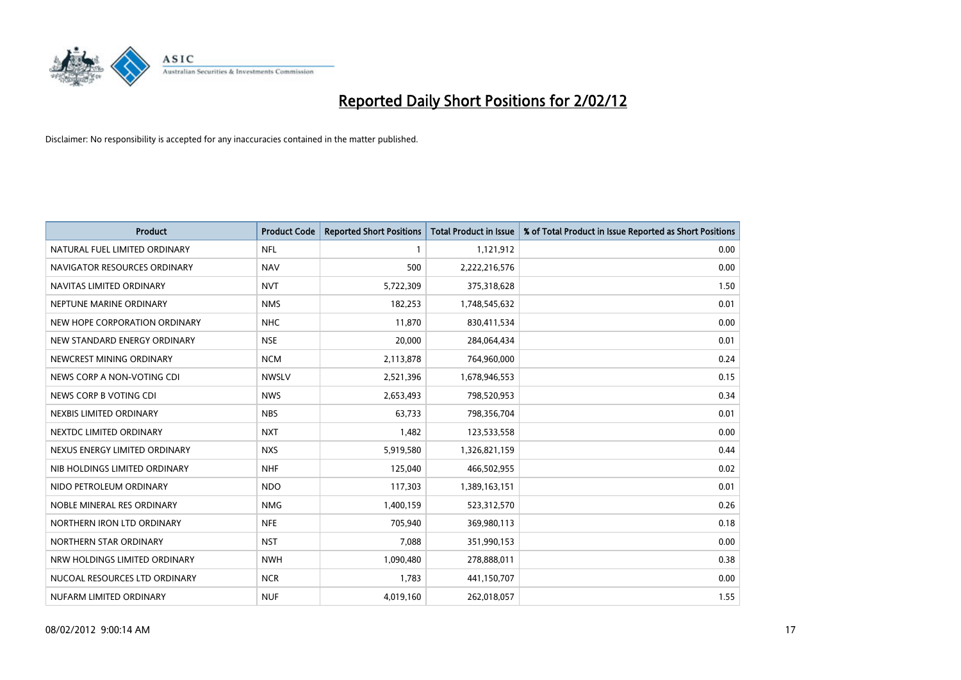

| <b>Product</b>                | <b>Product Code</b> | <b>Reported Short Positions</b> | <b>Total Product in Issue</b> | % of Total Product in Issue Reported as Short Positions |
|-------------------------------|---------------------|---------------------------------|-------------------------------|---------------------------------------------------------|
| NATURAL FUEL LIMITED ORDINARY | <b>NFL</b>          | $\mathbf{1}$                    | 1,121,912                     | 0.00                                                    |
| NAVIGATOR RESOURCES ORDINARY  | <b>NAV</b>          | 500                             | 2,222,216,576                 | 0.00                                                    |
| NAVITAS LIMITED ORDINARY      | <b>NVT</b>          | 5,722,309                       | 375,318,628                   | 1.50                                                    |
| NEPTUNE MARINE ORDINARY       | <b>NMS</b>          | 182,253                         | 1,748,545,632                 | 0.01                                                    |
| NEW HOPE CORPORATION ORDINARY | <b>NHC</b>          | 11,870                          | 830,411,534                   | 0.00                                                    |
| NEW STANDARD ENERGY ORDINARY  | <b>NSE</b>          | 20,000                          | 284,064,434                   | 0.01                                                    |
| NEWCREST MINING ORDINARY      | <b>NCM</b>          | 2,113,878                       | 764,960,000                   | 0.24                                                    |
| NEWS CORP A NON-VOTING CDI    | <b>NWSLV</b>        | 2,521,396                       | 1,678,946,553                 | 0.15                                                    |
| NEWS CORP B VOTING CDI        | <b>NWS</b>          | 2,653,493                       | 798,520,953                   | 0.34                                                    |
| NEXBIS LIMITED ORDINARY       | <b>NBS</b>          | 63,733                          | 798,356,704                   | 0.01                                                    |
| NEXTDC LIMITED ORDINARY       | <b>NXT</b>          | 1,482                           | 123,533,558                   | 0.00                                                    |
| NEXUS ENERGY LIMITED ORDINARY | <b>NXS</b>          | 5,919,580                       | 1,326,821,159                 | 0.44                                                    |
| NIB HOLDINGS LIMITED ORDINARY | <b>NHF</b>          | 125,040                         | 466,502,955                   | 0.02                                                    |
| NIDO PETROLEUM ORDINARY       | <b>NDO</b>          | 117,303                         | 1,389,163,151                 | 0.01                                                    |
| NOBLE MINERAL RES ORDINARY    | <b>NMG</b>          | 1,400,159                       | 523,312,570                   | 0.26                                                    |
| NORTHERN IRON LTD ORDINARY    | <b>NFE</b>          | 705,940                         | 369,980,113                   | 0.18                                                    |
| NORTHERN STAR ORDINARY        | <b>NST</b>          | 7,088                           | 351,990,153                   | 0.00                                                    |
| NRW HOLDINGS LIMITED ORDINARY | <b>NWH</b>          | 1,090,480                       | 278,888,011                   | 0.38                                                    |
| NUCOAL RESOURCES LTD ORDINARY | <b>NCR</b>          | 1,783                           | 441,150,707                   | 0.00                                                    |
| NUFARM LIMITED ORDINARY       | <b>NUF</b>          | 4,019,160                       | 262,018,057                   | 1.55                                                    |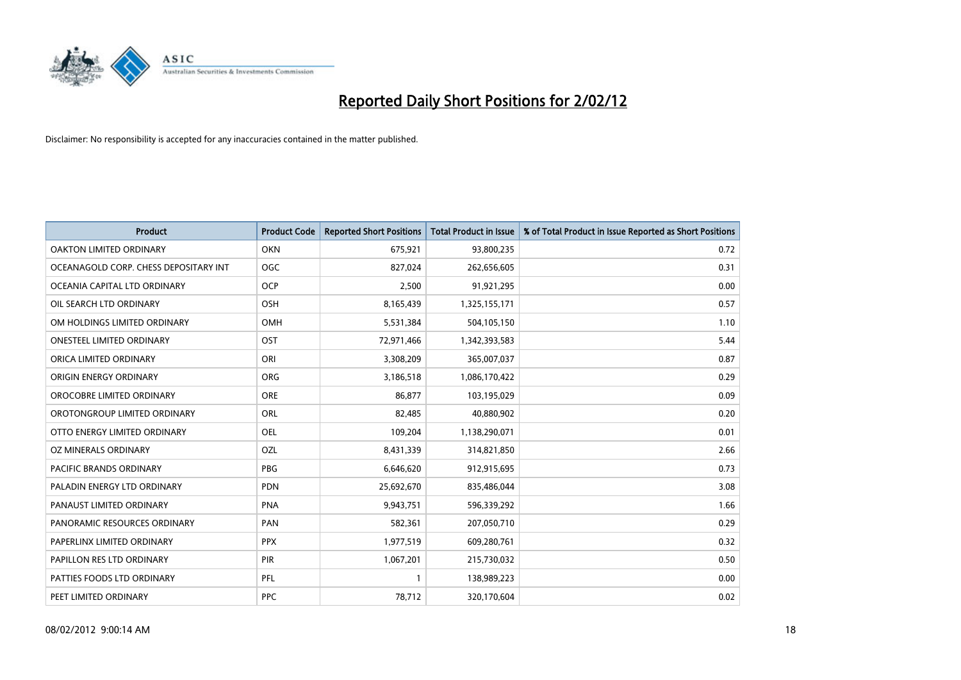

| <b>Product</b>                        | <b>Product Code</b> | <b>Reported Short Positions</b> | <b>Total Product in Issue</b> | % of Total Product in Issue Reported as Short Positions |
|---------------------------------------|---------------------|---------------------------------|-------------------------------|---------------------------------------------------------|
| <b>OAKTON LIMITED ORDINARY</b>        | <b>OKN</b>          | 675,921                         | 93,800,235                    | 0.72                                                    |
| OCEANAGOLD CORP. CHESS DEPOSITARY INT | <b>OGC</b>          | 827,024                         | 262,656,605                   | 0.31                                                    |
| OCEANIA CAPITAL LTD ORDINARY          | <b>OCP</b>          | 2,500                           | 91,921,295                    | 0.00                                                    |
| OIL SEARCH LTD ORDINARY               | OSH                 | 8,165,439                       | 1,325,155,171                 | 0.57                                                    |
| OM HOLDINGS LIMITED ORDINARY          | OMH                 | 5,531,384                       | 504,105,150                   | 1.10                                                    |
| <b>ONESTEEL LIMITED ORDINARY</b>      | OST                 | 72,971,466                      | 1,342,393,583                 | 5.44                                                    |
| ORICA LIMITED ORDINARY                | ORI                 | 3,308,209                       | 365,007,037                   | 0.87                                                    |
| ORIGIN ENERGY ORDINARY                | <b>ORG</b>          | 3,186,518                       | 1,086,170,422                 | 0.29                                                    |
| OROCOBRE LIMITED ORDINARY             | <b>ORE</b>          | 86,877                          | 103,195,029                   | 0.09                                                    |
| OROTONGROUP LIMITED ORDINARY          | ORL                 | 82,485                          | 40,880,902                    | 0.20                                                    |
| OTTO ENERGY LIMITED ORDINARY          | <b>OEL</b>          | 109,204                         | 1,138,290,071                 | 0.01                                                    |
| OZ MINERALS ORDINARY                  | OZL                 | 8,431,339                       | 314,821,850                   | 2.66                                                    |
| <b>PACIFIC BRANDS ORDINARY</b>        | <b>PBG</b>          | 6,646,620                       | 912,915,695                   | 0.73                                                    |
| PALADIN ENERGY LTD ORDINARY           | <b>PDN</b>          | 25,692,670                      | 835,486,044                   | 3.08                                                    |
| PANAUST LIMITED ORDINARY              | <b>PNA</b>          | 9,943,751                       | 596,339,292                   | 1.66                                                    |
| PANORAMIC RESOURCES ORDINARY          | PAN                 | 582,361                         | 207,050,710                   | 0.29                                                    |
| PAPERLINX LIMITED ORDINARY            | <b>PPX</b>          | 1,977,519                       | 609,280,761                   | 0.32                                                    |
| PAPILLON RES LTD ORDINARY             | PIR                 | 1,067,201                       | 215,730,032                   | 0.50                                                    |
| PATTIES FOODS LTD ORDINARY            | <b>PFL</b>          | $\mathbf{1}$                    | 138,989,223                   | 0.00                                                    |
| PEET LIMITED ORDINARY                 | <b>PPC</b>          | 78,712                          | 320,170,604                   | 0.02                                                    |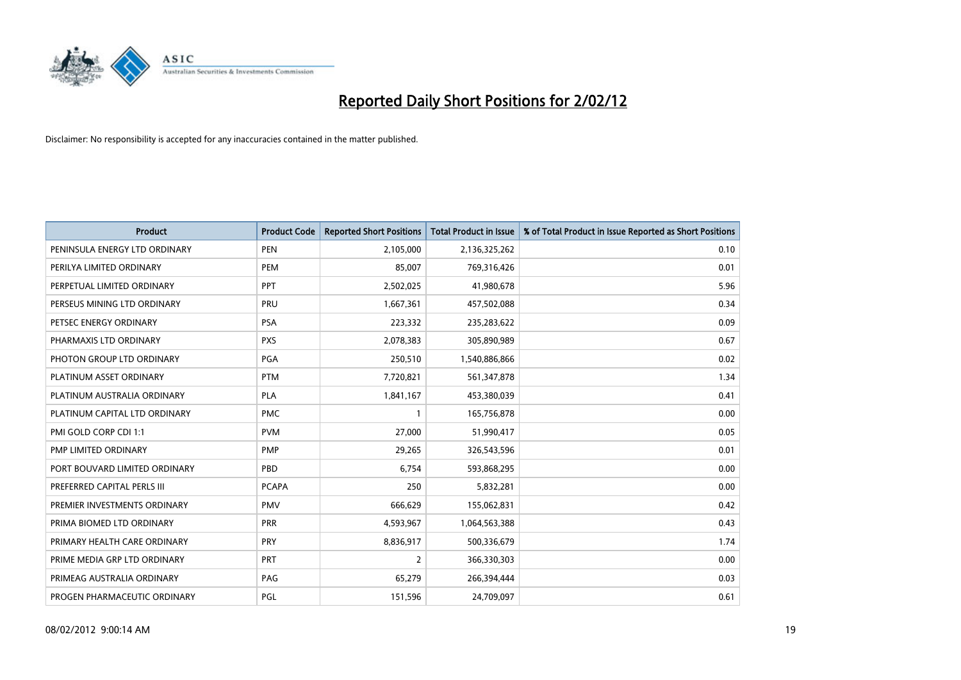

| <b>Product</b>                | <b>Product Code</b> | <b>Reported Short Positions</b> | <b>Total Product in Issue</b> | % of Total Product in Issue Reported as Short Positions |
|-------------------------------|---------------------|---------------------------------|-------------------------------|---------------------------------------------------------|
| PENINSULA ENERGY LTD ORDINARY | <b>PEN</b>          | 2,105,000                       | 2,136,325,262                 | 0.10                                                    |
| PERILYA LIMITED ORDINARY      | <b>PEM</b>          | 85,007                          | 769,316,426                   | 0.01                                                    |
| PERPETUAL LIMITED ORDINARY    | PPT                 | 2,502,025                       | 41,980,678                    | 5.96                                                    |
| PERSEUS MINING LTD ORDINARY   | PRU                 | 1,667,361                       | 457,502,088                   | 0.34                                                    |
| PETSEC ENERGY ORDINARY        | <b>PSA</b>          | 223,332                         | 235,283,622                   | 0.09                                                    |
| PHARMAXIS LTD ORDINARY        | <b>PXS</b>          | 2,078,383                       | 305,890,989                   | 0.67                                                    |
| PHOTON GROUP LTD ORDINARY     | PGA                 | 250,510                         | 1,540,886,866                 | 0.02                                                    |
| PLATINUM ASSET ORDINARY       | <b>PTM</b>          | 7,720,821                       | 561,347,878                   | 1.34                                                    |
| PLATINUM AUSTRALIA ORDINARY   | <b>PLA</b>          | 1,841,167                       | 453,380,039                   | 0.41                                                    |
| PLATINUM CAPITAL LTD ORDINARY | <b>PMC</b>          | $\mathbf{1}$                    | 165,756,878                   | 0.00                                                    |
| PMI GOLD CORP CDI 1:1         | <b>PVM</b>          | 27,000                          | 51,990,417                    | 0.05                                                    |
| PMP LIMITED ORDINARY          | <b>PMP</b>          | 29,265                          | 326,543,596                   | 0.01                                                    |
| PORT BOUVARD LIMITED ORDINARY | PBD                 | 6,754                           | 593,868,295                   | 0.00                                                    |
| PREFERRED CAPITAL PERLS III   | <b>PCAPA</b>        | 250                             | 5,832,281                     | 0.00                                                    |
| PREMIER INVESTMENTS ORDINARY  | <b>PMV</b>          | 666,629                         | 155,062,831                   | 0.42                                                    |
| PRIMA BIOMED LTD ORDINARY     | <b>PRR</b>          | 4,593,967                       | 1,064,563,388                 | 0.43                                                    |
| PRIMARY HEALTH CARE ORDINARY  | <b>PRY</b>          | 8,836,917                       | 500,336,679                   | 1.74                                                    |
| PRIME MEDIA GRP LTD ORDINARY  | PRT                 | $\overline{2}$                  | 366,330,303                   | 0.00                                                    |
| PRIMEAG AUSTRALIA ORDINARY    | PAG                 | 65,279                          | 266,394,444                   | 0.03                                                    |
| PROGEN PHARMACEUTIC ORDINARY  | <b>PGL</b>          | 151,596                         | 24,709,097                    | 0.61                                                    |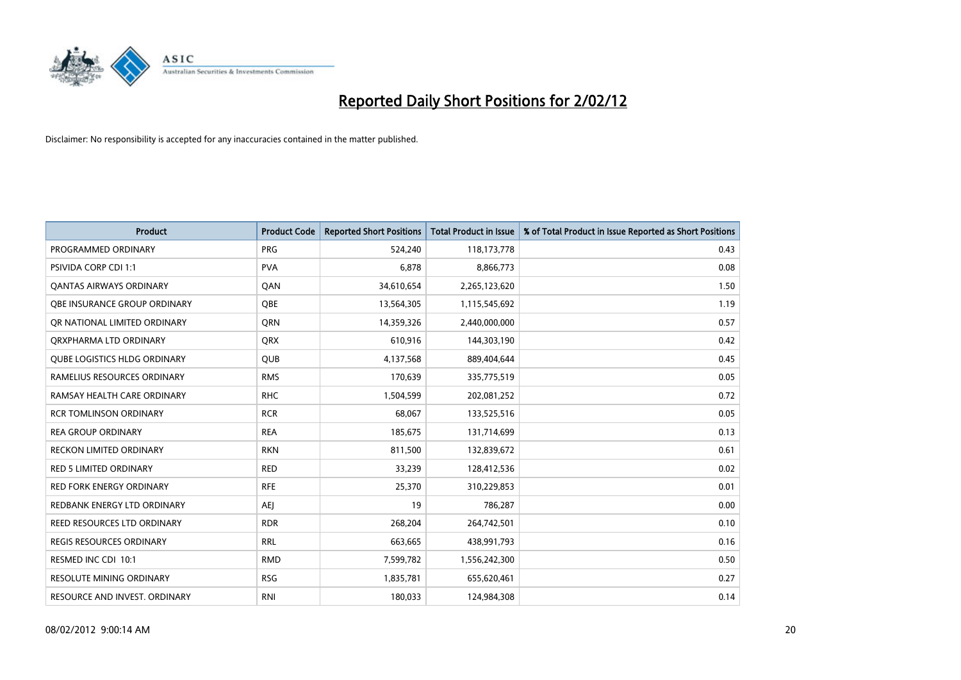

| <b>Product</b>                      | <b>Product Code</b> | <b>Reported Short Positions</b> | <b>Total Product in Issue</b> | % of Total Product in Issue Reported as Short Positions |
|-------------------------------------|---------------------|---------------------------------|-------------------------------|---------------------------------------------------------|
| PROGRAMMED ORDINARY                 | <b>PRG</b>          | 524,240                         | 118,173,778                   | 0.43                                                    |
| PSIVIDA CORP CDI 1:1                | <b>PVA</b>          | 6,878                           | 8,866,773                     | 0.08                                                    |
| OANTAS AIRWAYS ORDINARY             | QAN                 | 34,610,654                      | 2,265,123,620                 | 1.50                                                    |
| OBE INSURANCE GROUP ORDINARY        | <b>OBE</b>          | 13,564,305                      | 1,115,545,692                 | 1.19                                                    |
| OR NATIONAL LIMITED ORDINARY        | <b>ORN</b>          | 14,359,326                      | 2,440,000,000                 | 0.57                                                    |
| ORXPHARMA LTD ORDINARY              | <b>QRX</b>          | 610,916                         | 144,303,190                   | 0.42                                                    |
| <b>QUBE LOGISTICS HLDG ORDINARY</b> | <b>QUB</b>          | 4,137,568                       | 889,404,644                   | 0.45                                                    |
| RAMELIUS RESOURCES ORDINARY         | <b>RMS</b>          | 170,639                         | 335,775,519                   | 0.05                                                    |
| RAMSAY HEALTH CARE ORDINARY         | <b>RHC</b>          | 1,504,599                       | 202,081,252                   | 0.72                                                    |
| <b>RCR TOMLINSON ORDINARY</b>       | <b>RCR</b>          | 68,067                          | 133,525,516                   | 0.05                                                    |
| <b>REA GROUP ORDINARY</b>           | <b>REA</b>          | 185,675                         | 131,714,699                   | 0.13                                                    |
| <b>RECKON LIMITED ORDINARY</b>      | <b>RKN</b>          | 811,500                         | 132,839,672                   | 0.61                                                    |
| <b>RED 5 LIMITED ORDINARY</b>       | <b>RED</b>          | 33,239                          | 128,412,536                   | 0.02                                                    |
| <b>RED FORK ENERGY ORDINARY</b>     | <b>RFE</b>          | 25,370                          | 310,229,853                   | 0.01                                                    |
| REDBANK ENERGY LTD ORDINARY         | AEJ                 | 19                              | 786,287                       | 0.00                                                    |
| REED RESOURCES LTD ORDINARY         | <b>RDR</b>          | 268,204                         | 264,742,501                   | 0.10                                                    |
| <b>REGIS RESOURCES ORDINARY</b>     | <b>RRL</b>          | 663,665                         | 438,991,793                   | 0.16                                                    |
| RESMED INC CDI 10:1                 | <b>RMD</b>          | 7,599,782                       | 1,556,242,300                 | 0.50                                                    |
| <b>RESOLUTE MINING ORDINARY</b>     | <b>RSG</b>          | 1,835,781                       | 655,620,461                   | 0.27                                                    |
| RESOURCE AND INVEST. ORDINARY       | <b>RNI</b>          | 180,033                         | 124,984,308                   | 0.14                                                    |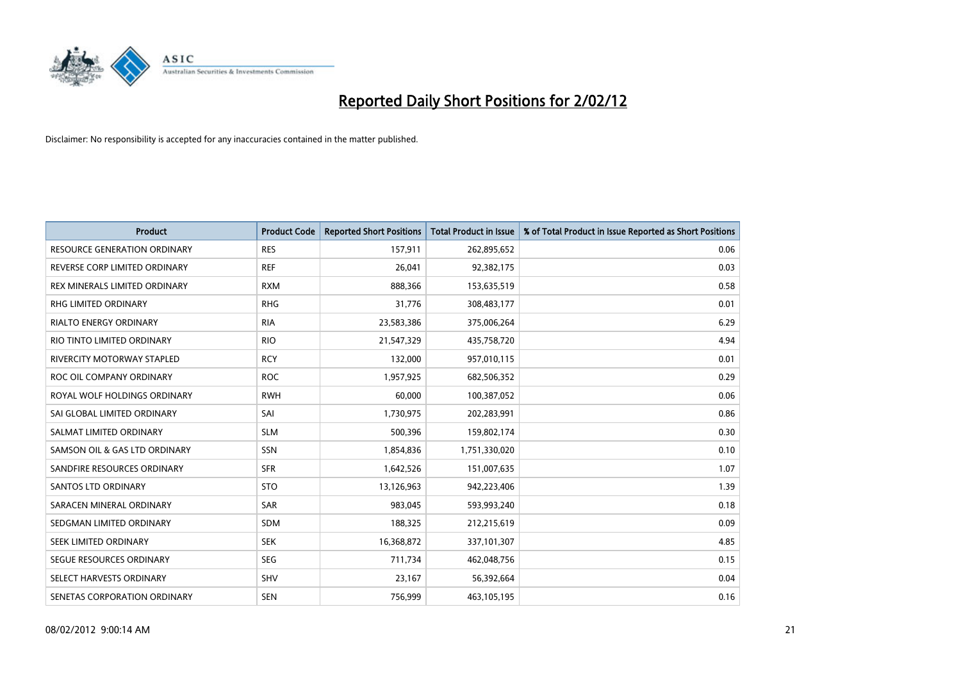

| <b>Product</b>                      | <b>Product Code</b> | <b>Reported Short Positions</b> | <b>Total Product in Issue</b> | % of Total Product in Issue Reported as Short Positions |
|-------------------------------------|---------------------|---------------------------------|-------------------------------|---------------------------------------------------------|
| <b>RESOURCE GENERATION ORDINARY</b> | <b>RES</b>          | 157,911                         | 262,895,652                   | 0.06                                                    |
| REVERSE CORP LIMITED ORDINARY       | <b>REF</b>          | 26,041                          | 92,382,175                    | 0.03                                                    |
| REX MINERALS LIMITED ORDINARY       | <b>RXM</b>          | 888,366                         | 153,635,519                   | 0.58                                                    |
| RHG LIMITED ORDINARY                | <b>RHG</b>          | 31,776                          | 308,483,177                   | 0.01                                                    |
| <b>RIALTO ENERGY ORDINARY</b>       | <b>RIA</b>          | 23,583,386                      | 375,006,264                   | 6.29                                                    |
| RIO TINTO LIMITED ORDINARY          | <b>RIO</b>          | 21,547,329                      | 435,758,720                   | 4.94                                                    |
| RIVERCITY MOTORWAY STAPLED          | <b>RCY</b>          | 132,000                         | 957,010,115                   | 0.01                                                    |
| ROC OIL COMPANY ORDINARY            | <b>ROC</b>          | 1,957,925                       | 682,506,352                   | 0.29                                                    |
| ROYAL WOLF HOLDINGS ORDINARY        | <b>RWH</b>          | 60,000                          | 100,387,052                   | 0.06                                                    |
| SAI GLOBAL LIMITED ORDINARY         | SAI                 | 1,730,975                       | 202,283,991                   | 0.86                                                    |
| SALMAT LIMITED ORDINARY             | <b>SLM</b>          | 500,396                         | 159,802,174                   | 0.30                                                    |
| SAMSON OIL & GAS LTD ORDINARY       | SSN                 | 1,854,836                       | 1,751,330,020                 | 0.10                                                    |
| SANDFIRE RESOURCES ORDINARY         | <b>SFR</b>          | 1,642,526                       | 151,007,635                   | 1.07                                                    |
| <b>SANTOS LTD ORDINARY</b>          | <b>STO</b>          | 13,126,963                      | 942,223,406                   | 1.39                                                    |
| SARACEN MINERAL ORDINARY            | <b>SAR</b>          | 983,045                         | 593,993,240                   | 0.18                                                    |
| SEDGMAN LIMITED ORDINARY            | SDM                 | 188,325                         | 212,215,619                   | 0.09                                                    |
| SEEK LIMITED ORDINARY               | <b>SEK</b>          | 16,368,872                      | 337,101,307                   | 4.85                                                    |
| SEGUE RESOURCES ORDINARY            | <b>SEG</b>          | 711,734                         | 462,048,756                   | 0.15                                                    |
| SELECT HARVESTS ORDINARY            | SHV                 | 23,167                          | 56,392,664                    | 0.04                                                    |
| SENETAS CORPORATION ORDINARY        | <b>SEN</b>          | 756,999                         | 463,105,195                   | 0.16                                                    |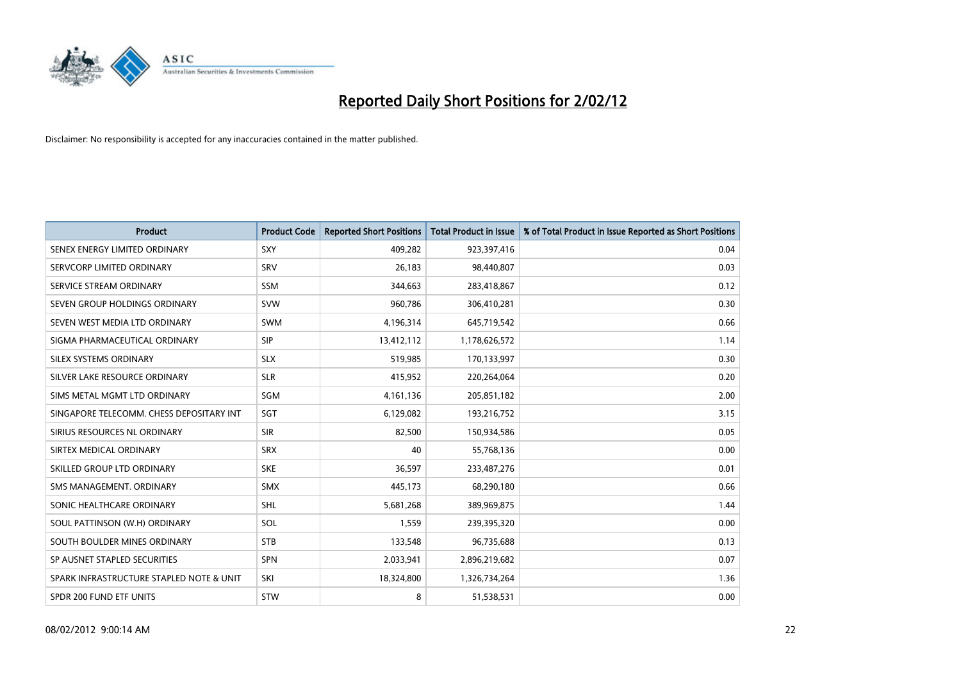

| <b>Product</b>                           | <b>Product Code</b> | <b>Reported Short Positions</b> | <b>Total Product in Issue</b> | % of Total Product in Issue Reported as Short Positions |
|------------------------------------------|---------------------|---------------------------------|-------------------------------|---------------------------------------------------------|
| SENEX ENERGY LIMITED ORDINARY            | SXY                 | 409,282                         | 923,397,416                   | 0.04                                                    |
| SERVCORP LIMITED ORDINARY                | <b>SRV</b>          | 26,183                          | 98,440,807                    | 0.03                                                    |
| SERVICE STREAM ORDINARY                  | <b>SSM</b>          | 344,663                         | 283,418,867                   | 0.12                                                    |
| SEVEN GROUP HOLDINGS ORDINARY            | <b>SVW</b>          | 960,786                         | 306,410,281                   | 0.30                                                    |
| SEVEN WEST MEDIA LTD ORDINARY            | <b>SWM</b>          | 4,196,314                       | 645,719,542                   | 0.66                                                    |
| SIGMA PHARMACEUTICAL ORDINARY            | <b>SIP</b>          | 13,412,112                      | 1,178,626,572                 | 1.14                                                    |
| SILEX SYSTEMS ORDINARY                   | <b>SLX</b>          | 519,985                         | 170,133,997                   | 0.30                                                    |
| SILVER LAKE RESOURCE ORDINARY            | <b>SLR</b>          | 415,952                         | 220,264,064                   | 0.20                                                    |
| SIMS METAL MGMT LTD ORDINARY             | <b>SGM</b>          | 4,161,136                       | 205,851,182                   | 2.00                                                    |
| SINGAPORE TELECOMM. CHESS DEPOSITARY INT | SGT                 | 6,129,082                       | 193,216,752                   | 3.15                                                    |
| SIRIUS RESOURCES NL ORDINARY             | <b>SIR</b>          | 82,500                          | 150,934,586                   | 0.05                                                    |
| SIRTEX MEDICAL ORDINARY                  | <b>SRX</b>          | 40                              | 55,768,136                    | 0.00                                                    |
| SKILLED GROUP LTD ORDINARY               | <b>SKE</b>          | 36,597                          | 233,487,276                   | 0.01                                                    |
| SMS MANAGEMENT, ORDINARY                 | <b>SMX</b>          | 445,173                         | 68,290,180                    | 0.66                                                    |
| SONIC HEALTHCARE ORDINARY                | <b>SHL</b>          | 5,681,268                       | 389,969,875                   | 1.44                                                    |
| SOUL PATTINSON (W.H) ORDINARY            | SOL                 | 1,559                           | 239,395,320                   | 0.00                                                    |
| SOUTH BOULDER MINES ORDINARY             | <b>STB</b>          | 133,548                         | 96,735,688                    | 0.13                                                    |
| SP AUSNET STAPLED SECURITIES             | <b>SPN</b>          | 2,033,941                       | 2,896,219,682                 | 0.07                                                    |
| SPARK INFRASTRUCTURE STAPLED NOTE & UNIT | SKI                 | 18,324,800                      | 1,326,734,264                 | 1.36                                                    |
| SPDR 200 FUND ETF UNITS                  | STW                 | 8                               | 51,538,531                    | 0.00                                                    |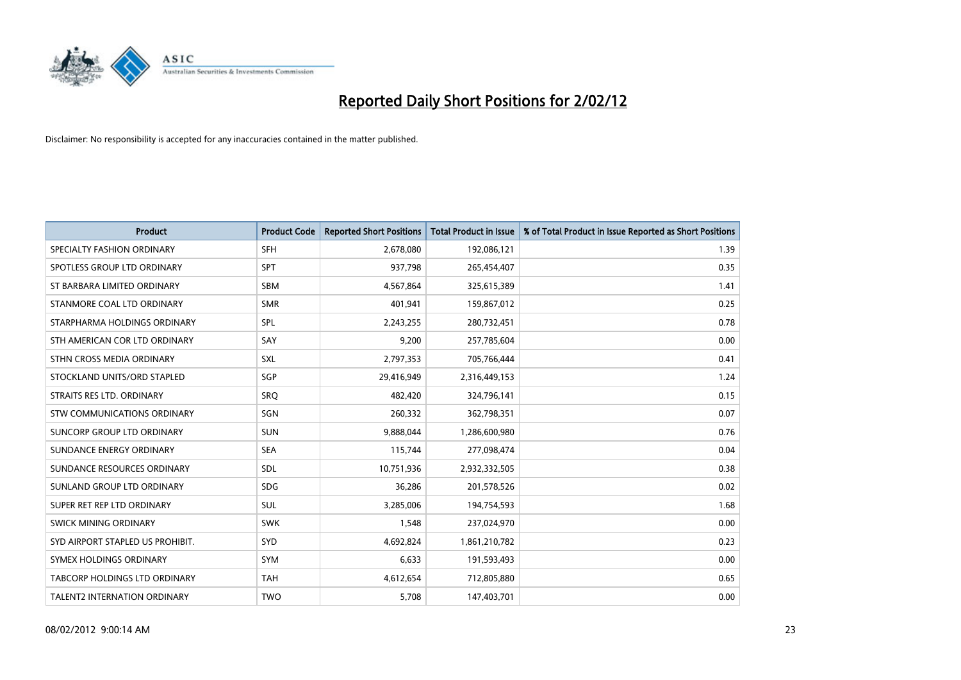

| <b>Product</b>                   | <b>Product Code</b> | <b>Reported Short Positions</b> | <b>Total Product in Issue</b> | % of Total Product in Issue Reported as Short Positions |
|----------------------------------|---------------------|---------------------------------|-------------------------------|---------------------------------------------------------|
| SPECIALTY FASHION ORDINARY       | <b>SFH</b>          | 2,678,080                       | 192,086,121                   | 1.39                                                    |
| SPOTLESS GROUP LTD ORDINARY      | <b>SPT</b>          | 937,798                         | 265,454,407                   | 0.35                                                    |
| ST BARBARA LIMITED ORDINARY      | <b>SBM</b>          | 4,567,864                       | 325,615,389                   | 1.41                                                    |
| STANMORE COAL LTD ORDINARY       | <b>SMR</b>          | 401,941                         | 159,867,012                   | 0.25                                                    |
| STARPHARMA HOLDINGS ORDINARY     | SPL                 | 2,243,255                       | 280,732,451                   | 0.78                                                    |
| STH AMERICAN COR LTD ORDINARY    | SAY                 | 9,200                           | 257,785,604                   | 0.00                                                    |
| STHN CROSS MEDIA ORDINARY        | <b>SXL</b>          | 2,797,353                       | 705,766,444                   | 0.41                                                    |
| STOCKLAND UNITS/ORD STAPLED      | SGP                 | 29,416,949                      | 2,316,449,153                 | 1.24                                                    |
| STRAITS RES LTD. ORDINARY        | SRQ                 | 482.420                         | 324,796,141                   | 0.15                                                    |
| STW COMMUNICATIONS ORDINARY      | SGN                 | 260,332                         | 362,798,351                   | 0.07                                                    |
| SUNCORP GROUP LTD ORDINARY       | <b>SUN</b>          | 9,888,044                       | 1,286,600,980                 | 0.76                                                    |
| SUNDANCE ENERGY ORDINARY         | <b>SEA</b>          | 115,744                         | 277,098,474                   | 0.04                                                    |
| SUNDANCE RESOURCES ORDINARY      | <b>SDL</b>          | 10,751,936                      | 2,932,332,505                 | 0.38                                                    |
| SUNLAND GROUP LTD ORDINARY       | <b>SDG</b>          | 36,286                          | 201,578,526                   | 0.02                                                    |
| SUPER RET REP LTD ORDINARY       | <b>SUL</b>          | 3,285,006                       | 194,754,593                   | 1.68                                                    |
| <b>SWICK MINING ORDINARY</b>     | <b>SWK</b>          | 1,548                           | 237,024,970                   | 0.00                                                    |
| SYD AIRPORT STAPLED US PROHIBIT. | <b>SYD</b>          | 4,692,824                       | 1,861,210,782                 | 0.23                                                    |
| SYMEX HOLDINGS ORDINARY          | <b>SYM</b>          | 6,633                           | 191,593,493                   | 0.00                                                    |
| TABCORP HOLDINGS LTD ORDINARY    | <b>TAH</b>          | 4,612,654                       | 712,805,880                   | 0.65                                                    |
| TALENT2 INTERNATION ORDINARY     | <b>TWO</b>          | 5,708                           | 147,403,701                   | 0.00                                                    |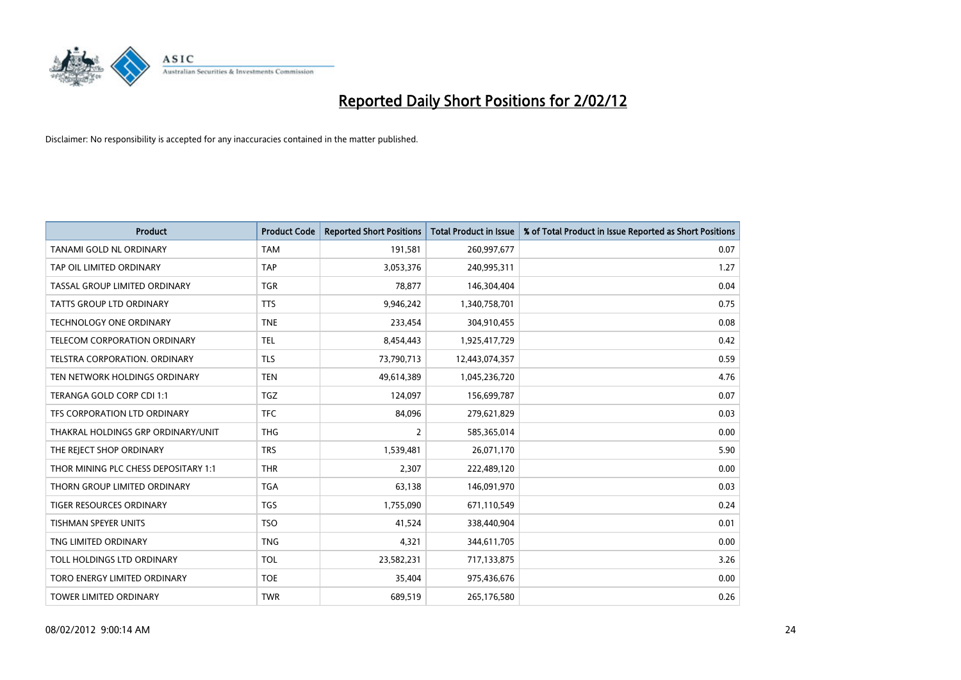

| <b>Product</b>                       | <b>Product Code</b> | <b>Reported Short Positions</b> | <b>Total Product in Issue</b> | % of Total Product in Issue Reported as Short Positions |
|--------------------------------------|---------------------|---------------------------------|-------------------------------|---------------------------------------------------------|
| <b>TANAMI GOLD NL ORDINARY</b>       | <b>TAM</b>          | 191,581                         | 260,997,677                   | 0.07                                                    |
| TAP OIL LIMITED ORDINARY             | <b>TAP</b>          | 3,053,376                       | 240,995,311                   | 1.27                                                    |
| TASSAL GROUP LIMITED ORDINARY        | <b>TGR</b>          | 78,877                          | 146,304,404                   | 0.04                                                    |
| TATTS GROUP LTD ORDINARY             | <b>TTS</b>          | 9,946,242                       | 1,340,758,701                 | 0.75                                                    |
| <b>TECHNOLOGY ONE ORDINARY</b>       | <b>TNE</b>          | 233,454                         | 304,910,455                   | 0.08                                                    |
| TELECOM CORPORATION ORDINARY         | <b>TEL</b>          | 8,454,443                       | 1,925,417,729                 | 0.42                                                    |
| TELSTRA CORPORATION, ORDINARY        | <b>TLS</b>          | 73,790,713                      | 12,443,074,357                | 0.59                                                    |
| TEN NETWORK HOLDINGS ORDINARY        | <b>TEN</b>          | 49,614,389                      | 1,045,236,720                 | 4.76                                                    |
| TERANGA GOLD CORP CDI 1:1            | <b>TGZ</b>          | 124,097                         | 156,699,787                   | 0.07                                                    |
| TFS CORPORATION LTD ORDINARY         | <b>TFC</b>          | 84,096                          | 279,621,829                   | 0.03                                                    |
| THAKRAL HOLDINGS GRP ORDINARY/UNIT   | <b>THG</b>          | 2                               | 585,365,014                   | 0.00                                                    |
| THE REJECT SHOP ORDINARY             | <b>TRS</b>          | 1,539,481                       | 26,071,170                    | 5.90                                                    |
| THOR MINING PLC CHESS DEPOSITARY 1:1 | <b>THR</b>          | 2,307                           | 222,489,120                   | 0.00                                                    |
| THORN GROUP LIMITED ORDINARY         | <b>TGA</b>          | 63,138                          | 146,091,970                   | 0.03                                                    |
| <b>TIGER RESOURCES ORDINARY</b>      | <b>TGS</b>          | 1,755,090                       | 671,110,549                   | 0.24                                                    |
| TISHMAN SPEYER UNITS                 | <b>TSO</b>          | 41,524                          | 338,440,904                   | 0.01                                                    |
| TNG LIMITED ORDINARY                 | <b>TNG</b>          | 4,321                           | 344,611,705                   | 0.00                                                    |
| TOLL HOLDINGS LTD ORDINARY           | <b>TOL</b>          | 23,582,231                      | 717,133,875                   | 3.26                                                    |
| TORO ENERGY LIMITED ORDINARY         | <b>TOE</b>          | 35,404                          | 975,436,676                   | 0.00                                                    |
| TOWER LIMITED ORDINARY               | <b>TWR</b>          | 689,519                         | 265,176,580                   | 0.26                                                    |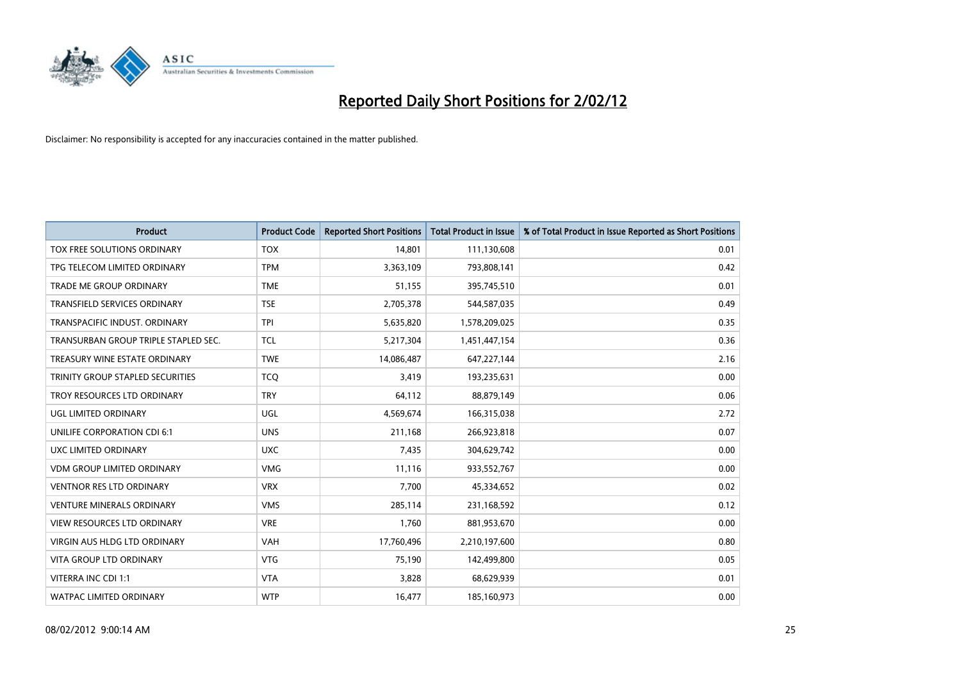

| <b>Product</b>                       | <b>Product Code</b> | <b>Reported Short Positions</b> | <b>Total Product in Issue</b> | % of Total Product in Issue Reported as Short Positions |
|--------------------------------------|---------------------|---------------------------------|-------------------------------|---------------------------------------------------------|
| TOX FREE SOLUTIONS ORDINARY          | <b>TOX</b>          | 14,801                          | 111,130,608                   | 0.01                                                    |
| TPG TELECOM LIMITED ORDINARY         | <b>TPM</b>          | 3,363,109                       | 793,808,141                   | 0.42                                                    |
| <b>TRADE ME GROUP ORDINARY</b>       | <b>TME</b>          | 51,155                          | 395,745,510                   | 0.01                                                    |
| TRANSFIELD SERVICES ORDINARY         | <b>TSE</b>          | 2,705,378                       | 544,587,035                   | 0.49                                                    |
| TRANSPACIFIC INDUST, ORDINARY        | <b>TPI</b>          | 5,635,820                       | 1,578,209,025                 | 0.35                                                    |
| TRANSURBAN GROUP TRIPLE STAPLED SEC. | <b>TCL</b>          | 5,217,304                       | 1,451,447,154                 | 0.36                                                    |
| TREASURY WINE ESTATE ORDINARY        | <b>TWE</b>          | 14,086,487                      | 647,227,144                   | 2.16                                                    |
| TRINITY GROUP STAPLED SECURITIES     | <b>TCO</b>          | 3,419                           | 193,235,631                   | 0.00                                                    |
| TROY RESOURCES LTD ORDINARY          | <b>TRY</b>          | 64,112                          | 88,879,149                    | 0.06                                                    |
| UGL LIMITED ORDINARY                 | UGL                 | 4,569,674                       | 166,315,038                   | 2.72                                                    |
| UNILIFE CORPORATION CDI 6:1          | <b>UNS</b>          | 211,168                         | 266,923,818                   | 0.07                                                    |
| UXC LIMITED ORDINARY                 | <b>UXC</b>          | 7,435                           | 304,629,742                   | 0.00                                                    |
| <b>VDM GROUP LIMITED ORDINARY</b>    | <b>VMG</b>          | 11,116                          | 933,552,767                   | 0.00                                                    |
| <b>VENTNOR RES LTD ORDINARY</b>      | <b>VRX</b>          | 7,700                           | 45,334,652                    | 0.02                                                    |
| <b>VENTURE MINERALS ORDINARY</b>     | <b>VMS</b>          | 285,114                         | 231,168,592                   | 0.12                                                    |
| VIEW RESOURCES LTD ORDINARY          | <b>VRE</b>          | 1,760                           | 881,953,670                   | 0.00                                                    |
| VIRGIN AUS HLDG LTD ORDINARY         | VAH                 | 17,760,496                      | 2,210,197,600                 | 0.80                                                    |
| VITA GROUP LTD ORDINARY              | <b>VTG</b>          | 75,190                          | 142,499,800                   | 0.05                                                    |
| VITERRA INC CDI 1:1                  | <b>VTA</b>          | 3,828                           | 68,629,939                    | 0.01                                                    |
| WATPAC LIMITED ORDINARY              | <b>WTP</b>          | 16,477                          | 185,160,973                   | 0.00                                                    |